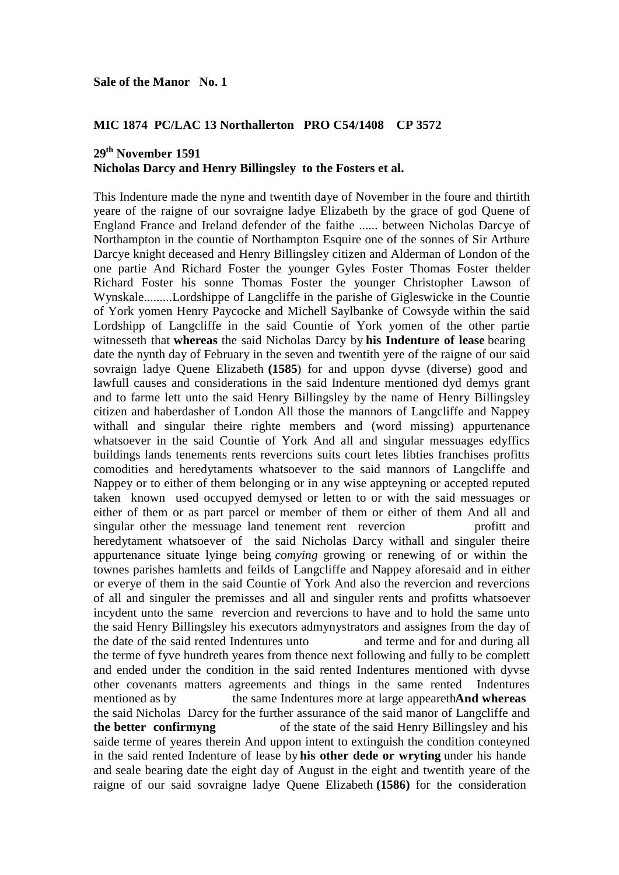## **MIC 1874 PC/LAC 13 Northallerton PRO C54/1408 CP 3572**

# **29th November 1591 Nicholas Darcy and Henry Billingsley to the Fosters et al.**

This Indenture made the nyne and twentith daye of November in the foure and thirtith yeare of the raigne of our sovraigne ladye Elizabeth by the grace of god Quene of England France and Ireland defender of the faithe ...... between Nicholas Darcye of Northampton in the countie of Northampton Esquire one of the sonnes of Sir Arthure Darcye knight deceased and Henry Billingsley citizen and Alderman of London of the one partie And Richard Foster the younger Gyles Foster Thomas Foster thelder Richard Foster his sonne Thomas Foster the younger Christopher Lawson of Wynskale.........Lordshippe of Langcliffe in the parishe of Gigleswicke in the Countie of York yomen Henry Paycocke and Michell Saylbanke of Cowsyde within the said Lordshipp of Langcliffe in the said Countie of York yomen of the other partie witnesseth that **whereas** the said Nicholas Darcy by **his Indenture of lease** bearing date the nynth day of February in the seven and twentith yere of the raigne of our said sovraign ladye Quene Elizabeth **(1585**) for and uppon dyvse (diverse) good and lawfull causes and considerations in the said Indenture mentioned dyd demys grant and to farme lett unto the said Henry Billingsley by the name of Henry Billingsley citizen and haberdasher of London All those the mannors of Langcliffe and Nappey withall and singular theire righte members and (word missing) appurtenance whatsoever in the said Countie of York And all and singular messuages edyffics buildings lands tenements rents revercions suits court letes libties franchises profitts comodities and heredytaments whatsoever to the said mannors of Langcliffe and Nappey or to either of them belonging or in any wise appteyning or accepted reputed taken known used occupyed demysed or letten to or with the said messuages or either of them or as part parcel or member of them or either of them And all and singular other the messuage land tenement rent revercion profitt and heredytament whatsoever of the said Nicholas Darcy withall and singuler theire appurtenance situate lyinge being *comying* growing or renewing of or within the townes parishes hamletts and feilds of Langcliffe and Nappey aforesaid and in either or everye of them in the said Countie of York And also the revercion and revercions of all and singuler the premisses and all and singuler rents and profitts whatsoever incydent unto the same revercion and revercions to have and to hold the same unto the said Henry Billingsley his executors admynystrators and assignes from the day of the date of the said rented Indentures unto and terme and for and during all the terme of fyve hundreth yeares from thence next following and fully to be complett and ended under the condition in the said rented Indentures mentioned with dyvse other covenants matters agreements and things in the same rented Indentures mentioned as by the same Indentures more at large appeareth**And whereas** the said Nicholas Darcy for the further assurance of the said manor of Langcliffe and **the better confirmyng** of the state of the said Henry Billingsley and his saide terme of yeares therein And uppon intent to extinguish the condition conteyned in the said rented Indenture of lease by **his other dede or wryting** under his hande and seale bearing date the eight day of August in the eight and twentith yeare of the raigne of our said sovraigne ladye Quene Elizabeth **(1586)** for the consideration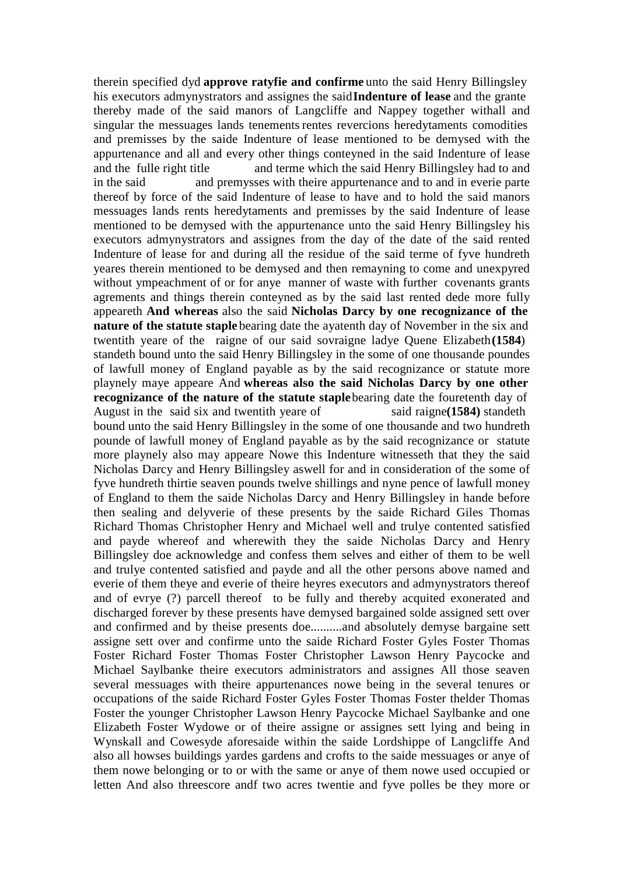therein specified dyd **approve ratyfie and confirme** unto the said Henry Billingsley his executors admynystrators and assignes the said**Indenture of lease** and the grante thereby made of the said manors of Langcliffe and Nappey together withall and singular the messuages lands tenements rentes revercions heredytaments comodities and premisses by the saide Indenture of lease mentioned to be demysed with the appurtenance and all and every other things conteyned in the said Indenture of lease and the fulle right title and terme which the said Henry Billingsley had to and in the said and premysses with theire appurtenance and to and in everie parte thereof by force of the said Indenture of lease to have and to hold the said manors messuages lands rents heredytaments and premisses by the said Indenture of lease mentioned to be demysed with the appurtenance unto the said Henry Billingsley his executors admynystrators and assignes from the day of the date of the said rented Indenture of lease for and during all the residue of the said terme of fyve hundreth yeares therein mentioned to be demysed and then remayning to come and unexpyred without ympeachment of or for anye manner of waste with further covenants grants agrements and things therein conteyned as by the said last rented dede more fully appeareth **And whereas** also the said **Nicholas Darcy by one recognizance of the nature of the statute staple** bearing date the ayatenth day of November in the six and twentith yeare of the raigne of our said sovraigne ladye Quene Elizabeth**(1584**) standeth bound unto the said Henry Billingsley in the some of one thousande poundes of lawfull money of England payable as by the said recognizance or statute more playnely maye appeare And **whereas also the said Nicholas Darcy by one other recognizance of the nature of the statute staple** bearing date the fouretenth day of August in the said six and twentith yeare of said raigne(1584) standeth bound unto the said Henry Billingsley in the some of one thousande and two hundreth pounde of lawfull money of England payable as by the said recognizance or statute more playnely also may appeare Nowe this Indenture witnesseth that they the said Nicholas Darcy and Henry Billingsley aswell for and in consideration of the some of fyve hundreth thirtie seaven pounds twelve shillings and nyne pence of lawfull money of England to them the saide Nicholas Darcy and Henry Billingsley in hande before then sealing and delyverie of these presents by the saide Richard Giles Thomas Richard Thomas Christopher Henry and Michael well and trulye contented satisfied and payde whereof and wherewith they the saide Nicholas Darcy and Henry Billingsley doe acknowledge and confess them selves and either of them to be well and trulye contented satisfied and payde and all the other persons above named and everie of them theye and everie of theire heyres executors and admynystrators thereof and of evrye (?) parcell thereof to be fully and thereby acquited exonerated and discharged forever by these presents have demysed bargained solde assigned sett over and confirmed and by theise presents doe..........and absolutely demyse bargaine sett assigne sett over and confirme unto the saide Richard Foster Gyles Foster Thomas Foster Richard Foster Thomas Foster Christopher Lawson Henry Paycocke and Michael Saylbanke theire executors administrators and assignes All those seaven several messuages with theire appurtenances nowe being in the several tenures or occupations of the saide Richard Foster Gyles Foster Thomas Foster thelder Thomas Foster the younger Christopher Lawson Henry Paycocke Michael Saylbanke and one Elizabeth Foster Wydowe or of theire assigne or assignes sett lying and being in Wynskall and Cowesyde aforesaide within the saide Lordshippe of Langcliffe And also all howses buildings yardes gardens and crofts to the saide messuages or anye of them nowe belonging or to or with the same or anye of them nowe used occupied or letten And also threescore andf two acres twentie and fyve polles be they more or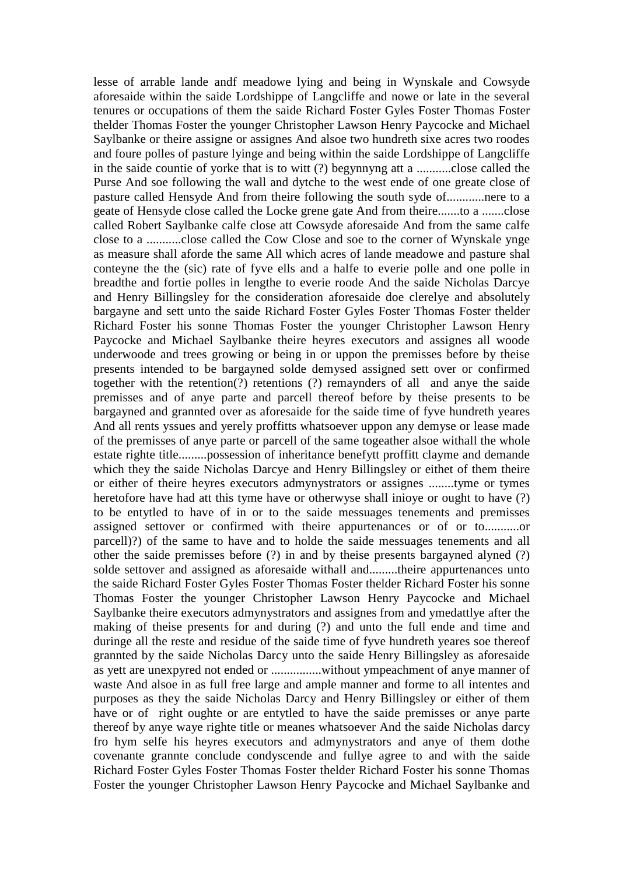lesse of arrable lande andf meadowe lying and being in Wynskale and Cowsyde aforesaide within the saide Lordshippe of Langcliffe and nowe or late in the several tenures or occupations of them the saide Richard Foster Gyles Foster Thomas Foster thelder Thomas Foster the younger Christopher Lawson Henry Paycocke and Michael Saylbanke or theire assigne or assignes And alsoe two hundreth sixe acres two roodes and foure polles of pasture lyinge and being within the saide Lordshippe of Langcliffe in the saide countie of yorke that is to witt (?) begynnyng att a ...........close called the Purse And soe following the wall and dytche to the west ende of one greate close of pasture called Hensyde And from theire following the south syde of............nere to a geate of Hensyde close called the Locke grene gate And from theire.......to a .......close called Robert Saylbanke calfe close att Cowsyde aforesaide And from the same calfe close to a ...........close called the Cow Close and soe to the corner of Wynskale ynge as measure shall aforde the same All which acres of lande meadowe and pasture shal conteyne the the (sic) rate of fyve ells and a halfe to everie polle and one polle in breadthe and fortie polles in lengthe to everie roode And the saide Nicholas Darcye and Henry Billingsley for the consideration aforesaide doe clerelye and absolutely bargayne and sett unto the saide Richard Foster Gyles Foster Thomas Foster thelder Richard Foster his sonne Thomas Foster the younger Christopher Lawson Henry Paycocke and Michael Saylbanke theire heyres executors and assignes all woode underwoode and trees growing or being in or uppon the premisses before by theise presents intended to be bargayned solde demysed assigned sett over or confirmed together with the retention(?) retentions (?) remaynders of all and anye the saide premisses and of anye parte and parcell thereof before by theise presents to be bargayned and grannted over as aforesaide for the saide time of fyve hundreth yeares And all rents yssues and yerely proffitts whatsoever uppon any demyse or lease made of the premisses of anye parte or parcell of the same togeather alsoe withall the whole estate righte title.........possession of inheritance benefytt proffitt clayme and demande which they the saide Nicholas Darcye and Henry Billingsley or eithet of them theire or either of theire heyres executors admynystrators or assignes ........tyme or tymes heretofore have had att this tyme have or otherwyse shall inioye or ought to have (?) to be entytled to have of in or to the saide messuages tenements and premisses assigned settover or confirmed with theire appurtenances or of or to...........or parcell)?) of the same to have and to holde the saide messuages tenements and all other the saide premisses before (?) in and by theise presents bargayned alyned (?) solde settover and assigned as aforesaide withall and.........theire appurtenances unto the saide Richard Foster Gyles Foster Thomas Foster thelder Richard Foster his sonne Thomas Foster the younger Christopher Lawson Henry Paycocke and Michael Saylbanke theire executors admynystrators and assignes from and ymedattlye after the making of theise presents for and during (?) and unto the full ende and time and duringe all the reste and residue of the saide time of fyve hundreth yeares soe thereof grannted by the saide Nicholas Darcy unto the saide Henry Billingsley as aforesaide as yett are unexpyred not ended or ................without ympeachment of anye manner of waste And alsoe in as full free large and ample manner and forme to all intentes and purposes as they the saide Nicholas Darcy and Henry Billingsley or either of them have or of right oughte or are entytled to have the saide premisses or anye parte thereof by anye waye righte title or meanes whatsoever And the saide Nicholas darcy fro hym selfe his heyres executors and admynystrators and anye of them dothe covenante grannte conclude condyscende and fullye agree to and with the saide Richard Foster Gyles Foster Thomas Foster thelder Richard Foster his sonne Thomas Foster the younger Christopher Lawson Henry Paycocke and Michael Saylbanke and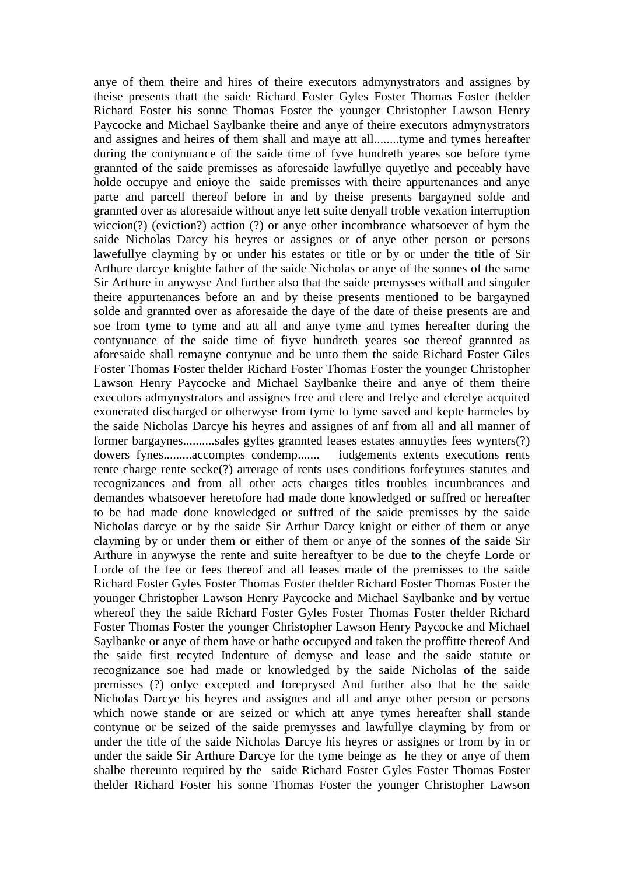anye of them theire and hires of theire executors admynystrators and assignes by theise presents thatt the saide Richard Foster Gyles Foster Thomas Foster thelder Richard Foster his sonne Thomas Foster the younger Christopher Lawson Henry Paycocke and Michael Saylbanke theire and anye of theire executors admynystrators and assignes and heires of them shall and maye att all........tyme and tymes hereafter during the contynuance of the saide time of fyve hundreth yeares soe before tyme grannted of the saide premisses as aforesaide lawfullye quyetlye and peceably have holde occupye and enioye the saide premisses with theire appurtenances and anye parte and parcell thereof before in and by theise presents bargayned solde and grannted over as aforesaide without anye lett suite denyall troble vexation interruption wiccion(?) (eviction?) acttion (?) or anye other incombrance whatsoever of hym the saide Nicholas Darcy his heyres or assignes or of anye other person or persons lawefullye clayming by or under his estates or title or by or under the title of Sir Arthure darcye knighte father of the saide Nicholas or anye of the sonnes of the same Sir Arthure in anywyse And further also that the saide premysses withall and singuler theire appurtenances before an and by theise presents mentioned to be bargayned solde and grannted over as aforesaide the daye of the date of theise presents are and soe from tyme to tyme and att all and anye tyme and tymes hereafter during the contynuance of the saide time of fiyve hundreth yeares soe thereof grannted as aforesaide shall remayne contynue and be unto them the saide Richard Foster Giles Foster Thomas Foster thelder Richard Foster Thomas Foster the younger Christopher Lawson Henry Paycocke and Michael Saylbanke theire and anye of them theire executors admynystrators and assignes free and clere and frelye and clerelye acquited exonerated discharged or otherwyse from tyme to tyme saved and kepte harmeles by the saide Nicholas Darcye his heyres and assignes of anf from all and all manner of former bargaynes..........sales gyftes grannted leases estates annuyties fees wynters(?) dowers fynes.........accomptes condemp....... iudgements extents executions rents rente charge rente secke(?) arrerage of rents uses conditions forfeytures statutes and recognizances and from all other acts charges titles troubles incumbrances and demandes whatsoever heretofore had made done knowledged or suffred or hereafter to be had made done knowledged or suffred of the saide premisses by the saide Nicholas darcye or by the saide Sir Arthur Darcy knight or either of them or anye clayming by or under them or either of them or anye of the sonnes of the saide Sir Arthure in anywyse the rente and suite hereaftyer to be due to the cheyfe Lorde or Lorde of the fee or fees thereof and all leases made of the premisses to the saide Richard Foster Gyles Foster Thomas Foster thelder Richard Foster Thomas Foster the younger Christopher Lawson Henry Paycocke and Michael Saylbanke and by vertue whereof they the saide Richard Foster Gyles Foster Thomas Foster thelder Richard Foster Thomas Foster the younger Christopher Lawson Henry Paycocke and Michael Saylbanke or anye of them have or hathe occupyed and taken the proffitte thereof And the saide first recyted Indenture of demyse and lease and the saide statute or recognizance soe had made or knowledged by the saide Nicholas of the saide premisses (?) onlye excepted and foreprysed And further also that he the saide Nicholas Darcye his heyres and assignes and all and anye other person or persons which nowe stande or are seized or which att anye tymes hereafter shall stande contynue or be seized of the saide premysses and lawfullye clayming by from or under the title of the saide Nicholas Darcye his heyres or assignes or from by in or under the saide Sir Arthure Darcye for the tyme beinge as he they or anye of them shalbe thereunto required by the saide Richard Foster Gyles Foster Thomas Foster thelder Richard Foster his sonne Thomas Foster the younger Christopher Lawson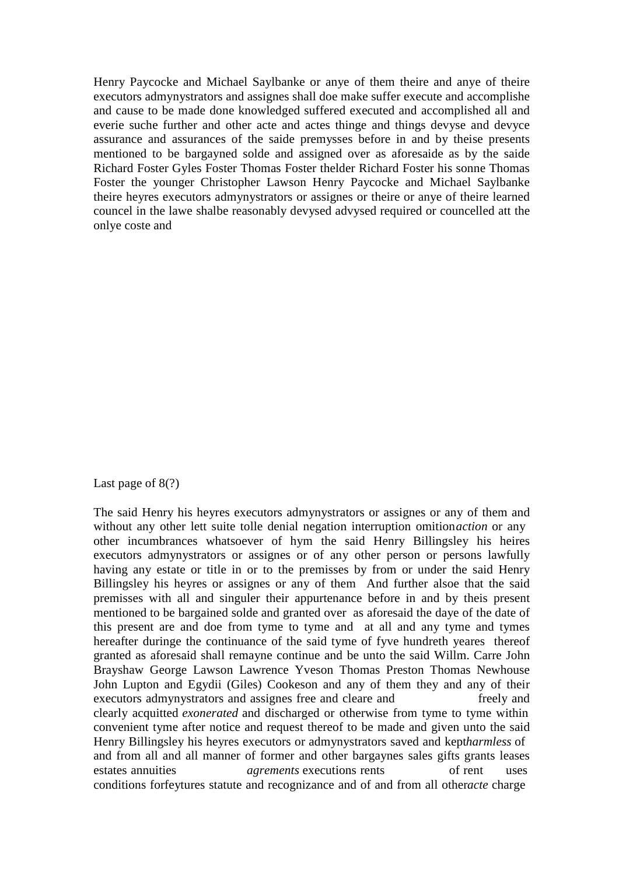Henry Paycocke and Michael Saylbanke or anye of them theire and anye of theire executors admynystrators and assignes shall doe make suffer execute and accomplishe and cause to be made done knowledged suffered executed and accomplished all and everie suche further and other acte and actes thinge and things devyse and devyce assurance and assurances of the saide premysses before in and by theise presents mentioned to be bargayned solde and assigned over as aforesaide as by the saide Richard Foster Gyles Foster Thomas Foster thelder Richard Foster his sonne Thomas Foster the younger Christopher Lawson Henry Paycocke and Michael Saylbanke theire heyres executors admynystrators or assignes or theire or anye of theire learned councel in the lawe shalbe reasonably devysed advysed required or councelled att the onlye coste and

### Last page of  $8(?)$

The said Henry his heyres executors admynystrators or assignes or any of them and without any other lett suite tolle denial negation interruption omition*action* or any other incumbrances whatsoever of hym the said Henry Billingsley his heires executors admynystrators or assignes or of any other person or persons lawfully having any estate or title in or to the premisses by from or under the said Henry Billingsley his heyres or assignes or any of them And further alsoe that the said premisses with all and singuler their appurtenance before in and by theis present mentioned to be bargained solde and granted over as aforesaid the daye of the date of this present are and doe from tyme to tyme and at all and any tyme and tymes hereafter duringe the continuance of the said tyme of fyve hundreth yeares thereof granted as aforesaid shall remayne continue and be unto the said Willm. Carre John Brayshaw George Lawson Lawrence Yveson Thomas Preston Thomas Newhouse John Lupton and Egydii (Giles) Cookeson and any of them they and any of their executors admynystrators and assignes free and cleare and freely and clearly acquitted *exonerated* and discharged or otherwise from tyme to tyme within convenient tyme after notice and request thereof to be made and given unto the said Henry Billingsley his heyres executors or admynystrators saved and kept*harmless* of and from all and all manner of former and other bargaynes sales gifts grants leases estates annuities *agrements* executions rents of rent uses conditions forfeytures statute and recognizance and of and from all other*acte* charge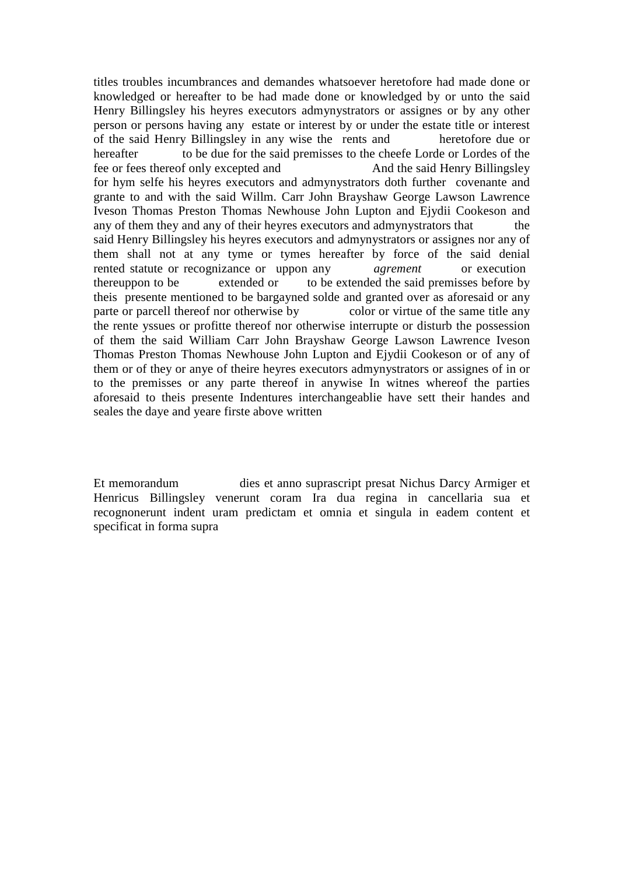titles troubles incumbrances and demandes whatsoever heretofore had made done or knowledged or hereafter to be had made done or knowledged by or unto the said Henry Billingsley his heyres executors admynystrators or assignes or by any other person or persons having any estate or interest by or under the estate title or interest of the said Henry Billingsley in any wise the rents and heretofore due or hereafter to be due for the said premisses to the cheefe Lorde or Lordes of the fee or fees thereof only excepted and And the said Henry Billingsley for hym selfe his heyres executors and admynystrators doth further covenante and grante to and with the said Willm. Carr John Brayshaw George Lawson Lawrence Iveson Thomas Preston Thomas Newhouse John Lupton and Ejydii Cookeson and any of them they and any of their heyres executors and admynystrators that said Henry Billingsley his heyres executors and admynystrators or assignes nor any of them shall not at any tyme or tymes hereafter by force of the said denial rented statute or recognizance or uppon any *agrement* or execution thereuppon to be extended or to be extended the said premisses before by theis presente mentioned to be bargayned solde and granted over as aforesaid or any parte or parcell thereof nor otherwise by color or virtue of the same title any the rente yssues or profitte thereof nor otherwise interrupte or disturb the possession of them the said William Carr John Brayshaw George Lawson Lawrence Iveson Thomas Preston Thomas Newhouse John Lupton and Ejydii Cookeson or of any of them or of they or anye of theire heyres executors admynystrators or assignes of in or to the premisses or any parte thereof in anywise In witnes whereof the parties aforesaid to theis presente Indentures interchangeablie have sett their handes and seales the daye and yeare firste above written

Et memorandum dies et anno suprascript presat Nichus Darcy Armiger et Henricus Billingsley venerunt coram Ira dua regina in cancellaria sua et recognonerunt indent uram predictam et omnia et singula in eadem content et specificat in forma supra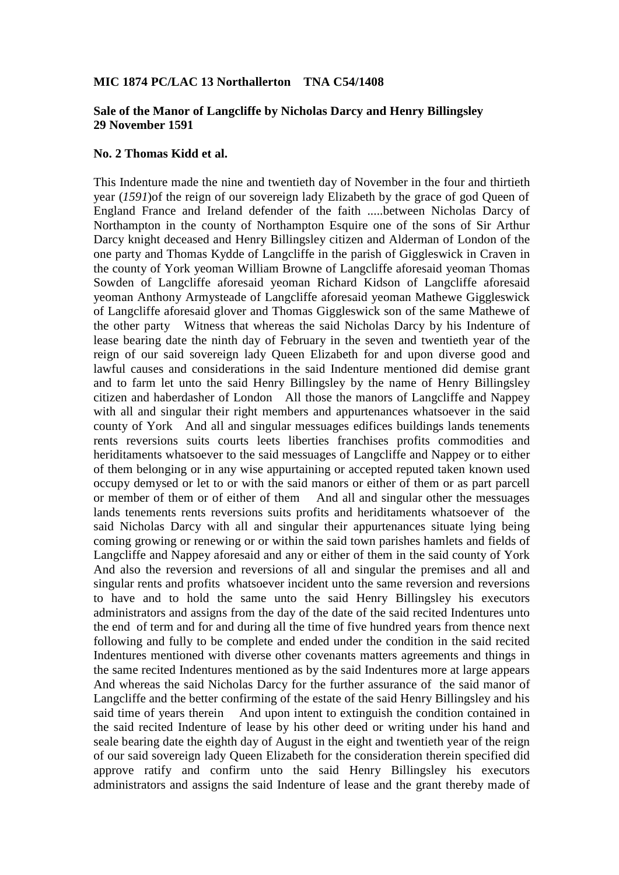## **MIC 1874 PC/LAC 13 Northallerton TNA C54/1408**

## **Sale of the Manor of Langcliffe by Nicholas Darcy and Henry Billingsley 29 November 1591**

## **No. 2 Thomas Kidd et al.**

This Indenture made the nine and twentieth day of November in the four and thirtieth year (*1591*)of the reign of our sovereign lady Elizabeth by the grace of god Queen of England France and Ireland defender of the faith .....between Nicholas Darcy of Northampton in the county of Northampton Esquire one of the sons of Sir Arthur Darcy knight deceased and Henry Billingsley citizen and Alderman of London of the one party and Thomas Kydde of Langcliffe in the parish of Giggleswick in Craven in the county of York yeoman William Browne of Langcliffe aforesaid yeoman Thomas Sowden of Langcliffe aforesaid yeoman Richard Kidson of Langcliffe aforesaid yeoman Anthony Armysteade of Langcliffe aforesaid yeoman Mathewe Giggleswick of Langcliffe aforesaid glover and Thomas Giggleswick son of the same Mathewe of the other party Witness that whereas the said Nicholas Darcy by his Indenture of lease bearing date the ninth day of February in the seven and twentieth year of the reign of our said sovereign lady Queen Elizabeth for and upon diverse good and lawful causes and considerations in the said Indenture mentioned did demise grant and to farm let unto the said Henry Billingsley by the name of Henry Billingsley citizen and haberdasher of London All those the manors of Langcliffe and Nappey with all and singular their right members and appurtenances whatsoever in the said county of York And all and singular messuages edifices buildings lands tenements rents reversions suits courts leets liberties franchises profits commodities and heriditaments whatsoever to the said messuages of Langcliffe and Nappey or to either of them belonging or in any wise appurtaining or accepted reputed taken known used occupy demysed or let to or with the said manors or either of them or as part parcell or member of them or of either of them And all and singular other the messuages lands tenements rents reversions suits profits and heriditaments whatsoever of the said Nicholas Darcy with all and singular their appurtenances situate lying being coming growing or renewing or or within the said town parishes hamlets and fields of Langcliffe and Nappey aforesaid and any or either of them in the said county of York And also the reversion and reversions of all and singular the premises and all and singular rents and profits whatsoever incident unto the same reversion and reversions to have and to hold the same unto the said Henry Billingsley his executors administrators and assigns from the day of the date of the said recited Indentures unto the end of term and for and during all the time of five hundred years from thence next following and fully to be complete and ended under the condition in the said recited Indentures mentioned with diverse other covenants matters agreements and things in the same recited Indentures mentioned as by the said Indentures more at large appears And whereas the said Nicholas Darcy for the further assurance of the said manor of Langcliffe and the better confirming of the estate of the said Henry Billingsley and his said time of years therein And upon intent to extinguish the condition contained in the said recited Indenture of lease by his other deed or writing under his hand and seale bearing date the eighth day of August in the eight and twentieth year of the reign of our said sovereign lady Queen Elizabeth for the consideration therein specified did approve ratify and confirm unto the said Henry Billingsley his executors administrators and assigns the said Indenture of lease and the grant thereby made of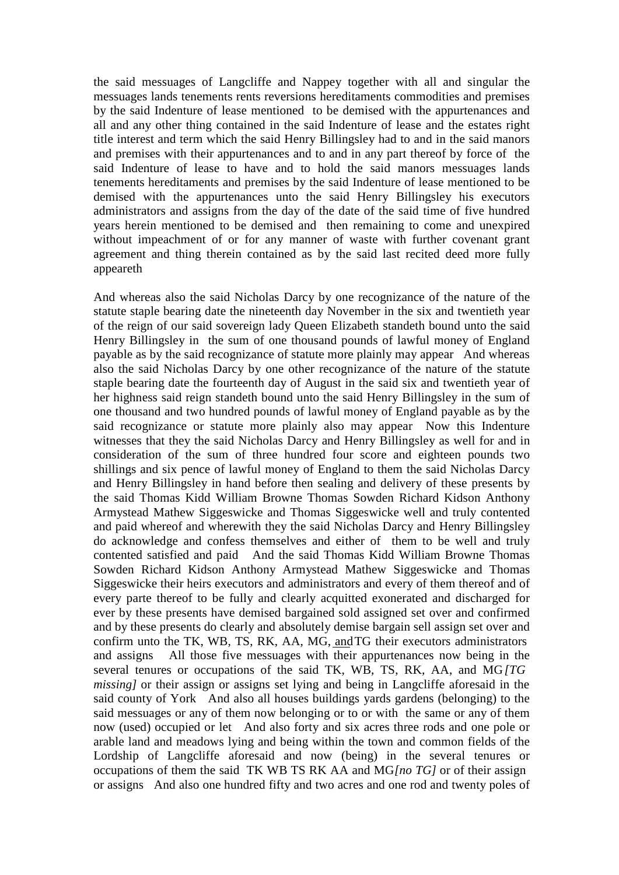the said messuages of Langcliffe and Nappey together with all and singular the messuages lands tenements rents reversions hereditaments commodities and premises by the said Indenture of lease mentioned to be demised with the appurtenances and all and any other thing contained in the said Indenture of lease and the estates right title interest and term which the said Henry Billingsley had to and in the said manors and premises with their appurtenances and to and in any part thereof by force of the said Indenture of lease to have and to hold the said manors messuages lands tenements hereditaments and premises by the said Indenture of lease mentioned to be demised with the appurtenances unto the said Henry Billingsley his executors administrators and assigns from the day of the date of the said time of five hundred years herein mentioned to be demised and then remaining to come and unexpired without impeachment of or for any manner of waste with further covenant grant agreement and thing therein contained as by the said last recited deed more fully appeareth

And whereas also the said Nicholas Darcy by one recognizance of the nature of the statute staple bearing date the nineteenth day November in the six and twentieth year of the reign of our said sovereign lady Queen Elizabeth standeth bound unto the said Henry Billingsley in the sum of one thousand pounds of lawful money of England payable as by the said recognizance of statute more plainly may appear And whereas also the said Nicholas Darcy by one other recognizance of the nature of the statute staple bearing date the fourteenth day of August in the said six and twentieth year of her highness said reign standeth bound unto the said Henry Billingsley in the sum of one thousand and two hundred pounds of lawful money of England payable as by the said recognizance or statute more plainly also may appear Now this Indenture witnesses that they the said Nicholas Darcy and Henry Billingsley as well for and in consideration of the sum of three hundred four score and eighteen pounds two shillings and six pence of lawful money of England to them the said Nicholas Darcy and Henry Billingsley in hand before then sealing and delivery of these presents by the said Thomas Kidd William Browne Thomas Sowden Richard Kidson Anthony Armystead Mathew Siggeswicke and Thomas Siggeswicke well and truly contented and paid whereof and wherewith they the said Nicholas Darcy and Henry Billingsley do acknowledge and confess themselves and either of them to be well and truly contented satisfied and paid And the said Thomas Kidd William Browne Thomas Sowden Richard Kidson Anthony Armystead Mathew Siggeswicke and Thomas Siggeswicke their heirs executors and administrators and every of them thereof and of every parte thereof to be fully and clearly acquitted exonerated and discharged for ever by these presents have demised bargained sold assigned set over and confirmed and by these presents do clearly and absolutely demise bargain sell assign set over and confirm unto the TK, WB, TS, RK, AA, MG, andTG their executors administrators and assigns All those five messuages with their appurtenances now being in the several tenures or occupations of the said TK, WB, TS, RK, AA, and MG*[TG missing]* or their assign or assigns set lying and being in Langcliffe aforesaid in the said county of York And also all houses buildings yards gardens (belonging) to the said messuages or any of them now belonging or to or with the same or any of them now (used) occupied or let And also forty and six acres three rods and one pole or arable land and meadows lying and being within the town and common fields of the Lordship of Langcliffe aforesaid and now (being) in the several tenures or occupations of them the said TK WB TS RK AA and MG*[no TG]* or of their assign or assigns And also one hundred fifty and two acres and one rod and twenty poles of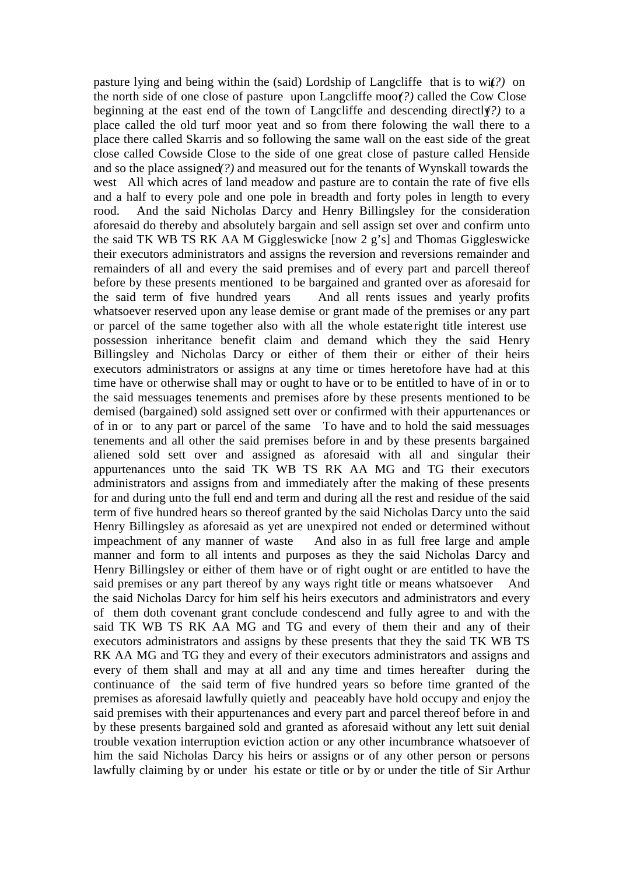pasture lying and being within the (said) Lordship of Langcliffe that is to wit*(?)* on the north side of one close of pasture upon Langcliffe moor*(?)* called the Cow Close beginning at the east end of the town of Langcliffe and descending directly*(?)* to a place called the old turf moor yeat and so from there folowing the wall there to a place there called Skarris and so following the same wall on the east side of the great close called Cowside Close to the side of one great close of pasture called Henside and so the place assigned*(?)* and measured out for the tenants of Wynskall towards the west All which acres of land meadow and pasture are to contain the rate of five ells and a half to every pole and one pole in breadth and forty poles in length to every rood. And the said Nicholas Darcy and Henry Billingsley for the consideration aforesaid do thereby and absolutely bargain and sell assign set over and confirm unto the said TK WB TS RK AA M Giggleswicke [now 2 g's] and Thomas Giggleswicke their executors administrators and assigns the reversion and reversions remainder and remainders of all and every the said premises and of every part and parcell thereof before by these presents mentioned to be bargained and granted over as aforesaid for the said term of five hundred years And all rents issues and yearly profits whatsoever reserved upon any lease demise or grant made of the premises or any part or parcel of the same together also with all the whole estate right title interest use possession inheritance benefit claim and demand which they the said Henry Billingsley and Nicholas Darcy or either of them their or either of their heirs executors administrators or assigns at any time or times heretofore have had at this time have or otherwise shall may or ought to have or to be entitled to have of in or to the said messuages tenements and premises afore by these presents mentioned to be demised (bargained) sold assigned sett over or confirmed with their appurtenances or of in or to any part or parcel of the same To have and to hold the said messuages tenements and all other the said premises before in and by these presents bargained aliened sold sett over and assigned as aforesaid with all and singular their appurtenances unto the said TK WB TS RK AA MG and TG their executors administrators and assigns from and immediately after the making of these presents for and during unto the full end and term and during all the rest and residue of the said term of five hundred hears so thereof granted by the said Nicholas Darcy unto the said Henry Billingsley as aforesaid as yet are unexpired not ended or determined without impeachment of any manner of waste And also in as full free large and ample manner and form to all intents and purposes as they the said Nicholas Darcy and Henry Billingsley or either of them have or of right ought or are entitled to have the said premises or any part thereof by any ways right title or means whatsoever And the said Nicholas Darcy for him self his heirs executors and administrators and every of them doth covenant grant conclude condescend and fully agree to and with the said TK WB TS RK AA MG and TG and every of them their and any of their executors administrators and assigns by these presents that they the said TK WB TS RK AA MG and TG they and every of their executors administrators and assigns and every of them shall and may at all and any time and times hereafter during the continuance of the said term of five hundred years so before time granted of the premises as aforesaid lawfully quietly and peaceably have hold occupy and enjoy the said premises with their appurtenances and every part and parcel thereof before in and by these presents bargained sold and granted as aforesaid without any lett suit denial trouble vexation interruption eviction action or any other incumbrance whatsoever of him the said Nicholas Darcy his heirs or assigns or of any other person or persons lawfully claiming by or under his estate or title or by or under the title of Sir Arthur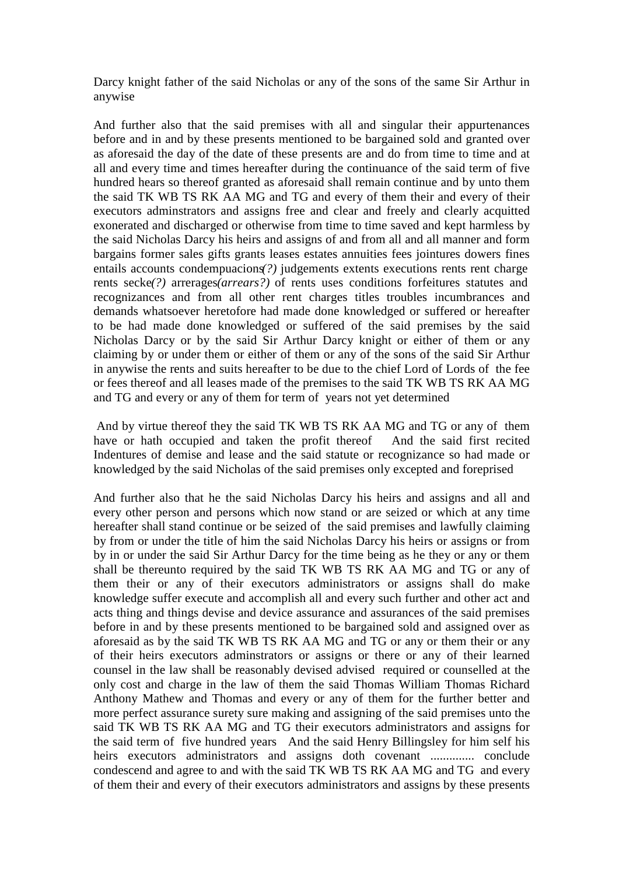Darcy knight father of the said Nicholas or any of the sons of the same Sir Arthur in anywise

And further also that the said premises with all and singular their appurtenances before and in and by these presents mentioned to be bargained sold and granted over as aforesaid the day of the date of these presents are and do from time to time and at all and every time and times hereafter during the continuance of the said term of five hundred hears so thereof granted as aforesaid shall remain continue and by unto them the said TK WB TS RK AA MG and TG and every of them their and every of their executors adminstrators and assigns free and clear and freely and clearly acquitted exonerated and discharged or otherwise from time to time saved and kept harmless by the said Nicholas Darcy his heirs and assigns of and from all and all manner and form bargains former sales gifts grants leases estates annuities fees jointures dowers fines entails accounts condempuacions*(?)* judgements extents executions rents rent charge rents secke*(?)* arrerages*(arrears?)* of rents uses conditions forfeitures statutes and recognizances and from all other rent charges titles troubles incumbrances and demands whatsoever heretofore had made done knowledged or suffered or hereafter to be had made done knowledged or suffered of the said premises by the said Nicholas Darcy or by the said Sir Arthur Darcy knight or either of them or any claiming by or under them or either of them or any of the sons of the said Sir Arthur in anywise the rents and suits hereafter to be due to the chief Lord of Lords of the fee or fees thereof and all leases made of the premises to the said TK WB TS RK AA MG and TG and every or any of them for term of years not yet determined

And by virtue thereof they the said TK WB TS RK AA MG and TG or any of them have or hath occupied and taken the profit thereof And the said first recited Indentures of demise and lease and the said statute or recognizance so had made or knowledged by the said Nicholas of the said premises only excepted and foreprised

And further also that he the said Nicholas Darcy his heirs and assigns and all and every other person and persons which now stand or are seized or which at any time hereafter shall stand continue or be seized of the said premises and lawfully claiming by from or under the title of him the said Nicholas Darcy his heirs or assigns or from by in or under the said Sir Arthur Darcy for the time being as he they or any or them shall be thereunto required by the said TK WB TS RK AA MG and TG or any of them their or any of their executors administrators or assigns shall do make knowledge suffer execute and accomplish all and every such further and other act and acts thing and things devise and device assurance and assurances of the said premises before in and by these presents mentioned to be bargained sold and assigned over as aforesaid as by the said TK WB TS RK AA MG and TG or any or them their or any of their heirs executors adminstrators or assigns or there or any of their learned counsel in the law shall be reasonably devised advised required or counselled at the only cost and charge in the law of them the said Thomas William Thomas Richard Anthony Mathew and Thomas and every or any of them for the further better and more perfect assurance surety sure making and assigning of the said premises unto the said TK WB TS RK AA MG and TG their executors administrators and assigns for the said term of five hundred years And the said Henry Billingsley for him self his heirs executors administrators and assigns doth covenant .............. conclude condescend and agree to and with the said TK WB TS RK AA MG and TG and every of them their and every of their executors administrators and assigns by these presents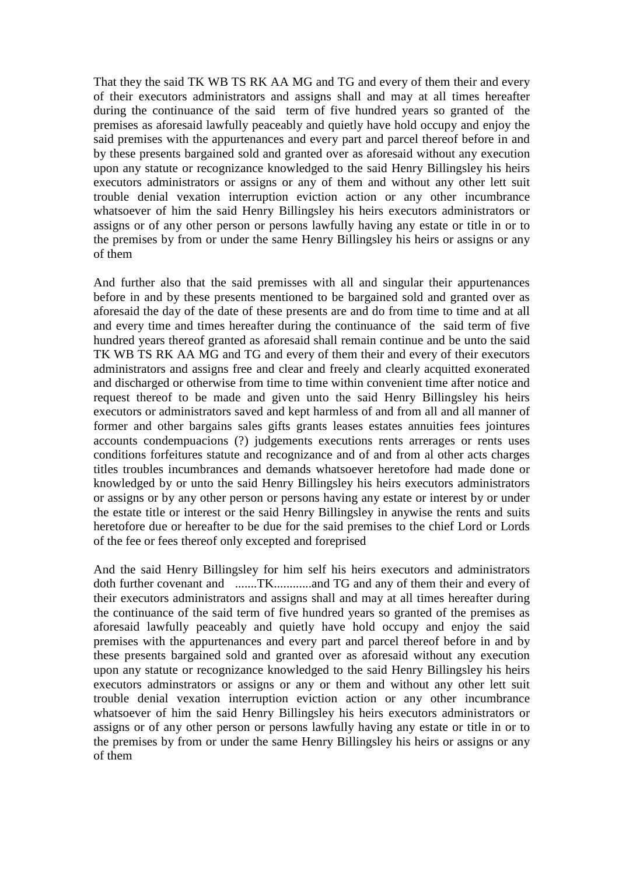That they the said TK WB TS RK AA MG and TG and every of them their and every of their executors administrators and assigns shall and may at all times hereafter during the continuance of the said term of five hundred years so granted of the premises as aforesaid lawfully peaceably and quietly have hold occupy and enjoy the said premises with the appurtenances and every part and parcel thereof before in and by these presents bargained sold and granted over as aforesaid without any execution upon any statute or recognizance knowledged to the said Henry Billingsley his heirs executors administrators or assigns or any of them and without any other lett suit trouble denial vexation interruption eviction action or any other incumbrance whatsoever of him the said Henry Billingsley his heirs executors administrators or assigns or of any other person or persons lawfully having any estate or title in or to the premises by from or under the same Henry Billingsley his heirs or assigns or any of them

And further also that the said premisses with all and singular their appurtenances before in and by these presents mentioned to be bargained sold and granted over as aforesaid the day of the date of these presents are and do from time to time and at all and every time and times hereafter during the continuance of the said term of five hundred years thereof granted as aforesaid shall remain continue and be unto the said TK WB TS RK AA MG and TG and every of them their and every of their executors administrators and assigns free and clear and freely and clearly acquitted exonerated and discharged or otherwise from time to time within convenient time after notice and request thereof to be made and given unto the said Henry Billingsley his heirs executors or administrators saved and kept harmless of and from all and all manner of former and other bargains sales gifts grants leases estates annuities fees jointures accounts condempuacions (?) judgements executions rents arrerages or rents uses conditions forfeitures statute and recognizance and of and from al other acts charges titles troubles incumbrances and demands whatsoever heretofore had made done or knowledged by or unto the said Henry Billingsley his heirs executors administrators or assigns or by any other person or persons having any estate or interest by or under the estate title or interest or the said Henry Billingsley in anywise the rents and suits heretofore due or hereafter to be due for the said premises to the chief Lord or Lords of the fee or fees thereof only excepted and foreprised

And the said Henry Billingsley for him self his heirs executors and administrators doth further covenant and .......TK............and TG and any of them their and every of their executors administrators and assigns shall and may at all times hereafter during the continuance of the said term of five hundred years so granted of the premises as aforesaid lawfully peaceably and quietly have hold occupy and enjoy the said premises with the appurtenances and every part and parcel thereof before in and by these presents bargained sold and granted over as aforesaid without any execution upon any statute or recognizance knowledged to the said Henry Billingsley his heirs executors adminstrators or assigns or any or them and without any other lett suit trouble denial vexation interruption eviction action or any other incumbrance whatsoever of him the said Henry Billingsley his heirs executors administrators or assigns or of any other person or persons lawfully having any estate or title in or to the premises by from or under the same Henry Billingsley his heirs or assigns or any of them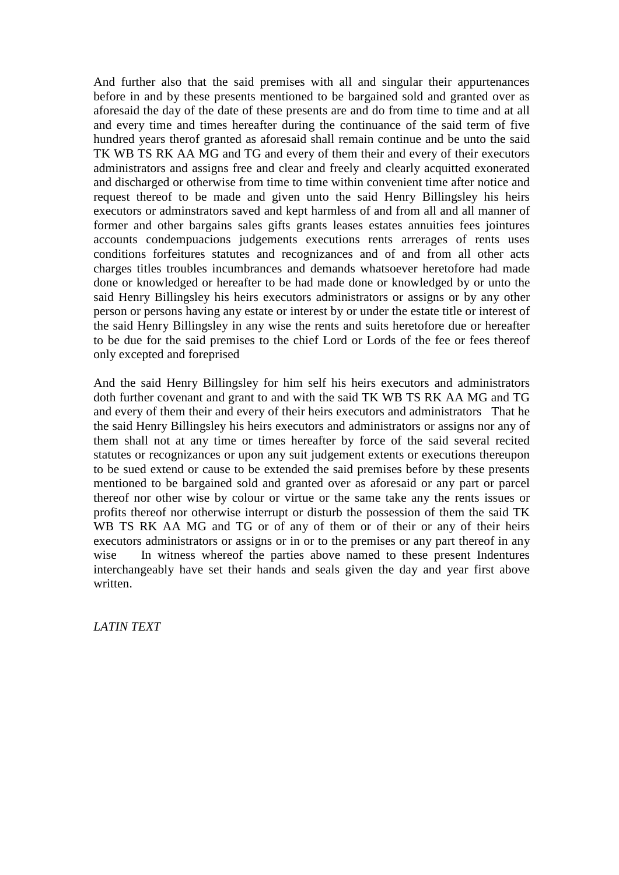And further also that the said premises with all and singular their appurtenances before in and by these presents mentioned to be bargained sold and granted over as aforesaid the day of the date of these presents are and do from time to time and at all and every time and times hereafter during the continuance of the said term of five hundred years therof granted as aforesaid shall remain continue and be unto the said TK WB TS RK AA MG and TG and every of them their and every of their executors administrators and assigns free and clear and freely and clearly acquitted exonerated and discharged or otherwise from time to time within convenient time after notice and request thereof to be made and given unto the said Henry Billingsley his heirs executors or adminstrators saved and kept harmless of and from all and all manner of former and other bargains sales gifts grants leases estates annuities fees jointures accounts condempuacions judgements executions rents arrerages of rents uses conditions forfeitures statutes and recognizances and of and from all other acts charges titles troubles incumbrances and demands whatsoever heretofore had made done or knowledged or hereafter to be had made done or knowledged by or unto the said Henry Billingsley his heirs executors administrators or assigns or by any other person or persons having any estate or interest by or under the estate title or interest of the said Henry Billingsley in any wise the rents and suits heretofore due or hereafter to be due for the said premises to the chief Lord or Lords of the fee or fees thereof only excepted and foreprised

And the said Henry Billingsley for him self his heirs executors and administrators doth further covenant and grant to and with the said TK WB TS RK AA MG and TG and every of them their and every of their heirs executors and administrators That he the said Henry Billingsley his heirs executors and administrators or assigns nor any of them shall not at any time or times hereafter by force of the said several recited statutes or recognizances or upon any suit judgement extents or executions thereupon to be sued extend or cause to be extended the said premises before by these presents mentioned to be bargained sold and granted over as aforesaid or any part or parcel thereof nor other wise by colour or virtue or the same take any the rents issues or profits thereof nor otherwise interrupt or disturb the possession of them the said TK WB TS RK AA MG and TG or of any of them or of their or any of their heirs executors administrators or assigns or in or to the premises or any part thereof in any wise In witness whereof the parties above named to these present Indentures interchangeably have set their hands and seals given the day and year first above written.

*LATIN TEXT*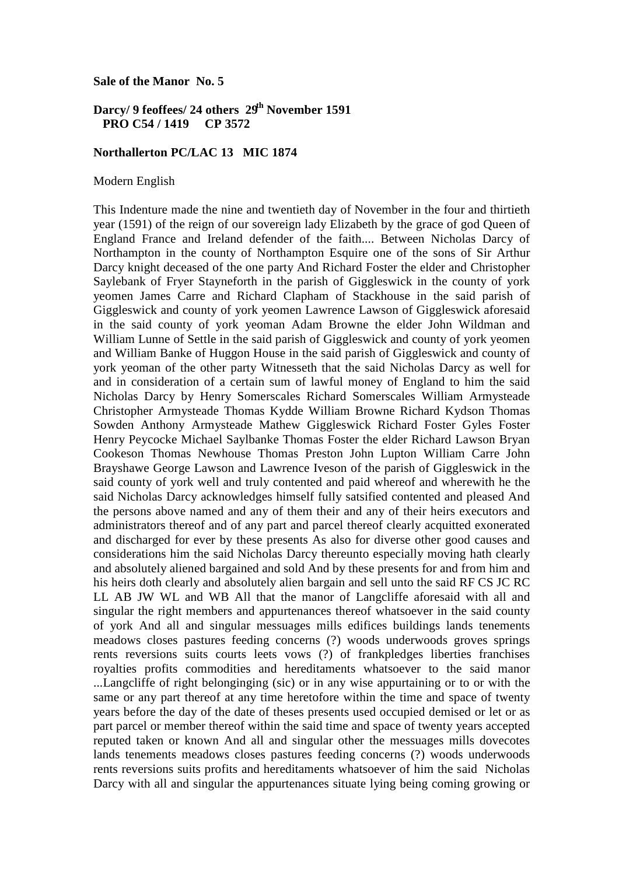**Sale of the Manor No. 5**

# **Darcy/ 9 feoffees/ 24 others 29th November 1591 PRO C54 / 1419 CP 3572**

#### **Northallerton PC/LAC 13 MIC 1874**

Modern English

This Indenture made the nine and twentieth day of November in the four and thirtieth year (1591) of the reign of our sovereign lady Elizabeth by the grace of god Queen of England France and Ireland defender of the faith.... Between Nicholas Darcy of Northampton in the county of Northampton Esquire one of the sons of Sir Arthur Darcy knight deceased of the one party And Richard Foster the elder and Christopher Saylebank of Fryer Stayneforth in the parish of Giggleswick in the county of york yeomen James Carre and Richard Clapham of Stackhouse in the said parish of Giggleswick and county of york yeomen Lawrence Lawson of Giggleswick aforesaid in the said county of york yeoman Adam Browne the elder John Wildman and William Lunne of Settle in the said parish of Giggleswick and county of york yeomen and William Banke of Huggon House in the said parish of Giggleswick and county of york yeoman of the other party Witnesseth that the said Nicholas Darcy as well for and in consideration of a certain sum of lawful money of England to him the said Nicholas Darcy by Henry Somerscales Richard Somerscales William Armysteade Christopher Armysteade Thomas Kydde William Browne Richard Kydson Thomas Sowden Anthony Armysteade Mathew Giggleswick Richard Foster Gyles Foster Henry Peycocke Michael Saylbanke Thomas Foster the elder Richard Lawson Bryan Cookeson Thomas Newhouse Thomas Preston John Lupton William Carre John Brayshawe George Lawson and Lawrence Iveson of the parish of Giggleswick in the said county of york well and truly contented and paid whereof and wherewith he the said Nicholas Darcy acknowledges himself fully satsified contented and pleased And the persons above named and any of them their and any of their heirs executors and administrators thereof and of any part and parcel thereof clearly acquitted exonerated and discharged for ever by these presents As also for diverse other good causes and considerations him the said Nicholas Darcy thereunto especially moving hath clearly and absolutely aliened bargained and sold And by these presents for and from him and his heirs doth clearly and absolutely alien bargain and sell unto the said RF CS JC RC LL AB JW WL and WB All that the manor of Langcliffe aforesaid with all and singular the right members and appurtenances thereof whatsoever in the said county of york And all and singular messuages mills edifices buildings lands tenements meadows closes pastures feeding concerns (?) woods underwoods groves springs rents reversions suits courts leets vows (?) of frankpledges liberties franchises royalties profits commodities and hereditaments whatsoever to the said manor ...Langcliffe of right belonginging (sic) or in any wise appurtaining or to or with the same or any part thereof at any time heretofore within the time and space of twenty years before the day of the date of theses presents used occupied demised or let or as part parcel or member thereof within the said time and space of twenty years accepted reputed taken or known And all and singular other the messuages mills dovecotes lands tenements meadows closes pastures feeding concerns (?) woods underwoods rents reversions suits profits and hereditaments whatsoever of him the said Nicholas Darcy with all and singular the appurtenances situate lying being coming growing or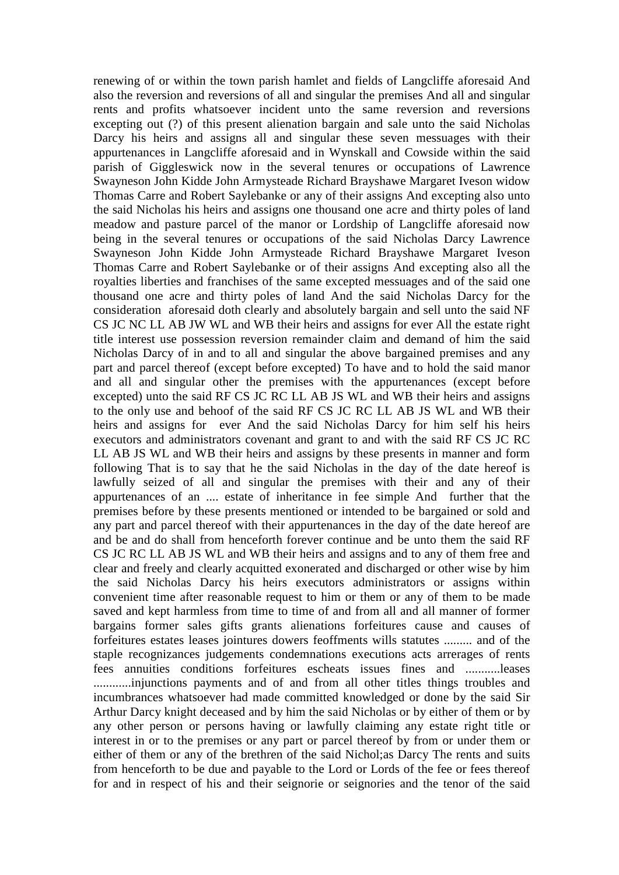renewing of or within the town parish hamlet and fields of Langcliffe aforesaid And also the reversion and reversions of all and singular the premises And all and singular rents and profits whatsoever incident unto the same reversion and reversions excepting out (?) of this present alienation bargain and sale unto the said Nicholas Darcy his heirs and assigns all and singular these seven messuages with their appurtenances in Langcliffe aforesaid and in Wynskall and Cowside within the said parish of Giggleswick now in the several tenures or occupations of Lawrence Swayneson John Kidde John Armysteade Richard Brayshawe Margaret Iveson widow Thomas Carre and Robert Saylebanke or any of their assigns And excepting also unto the said Nicholas his heirs and assigns one thousand one acre and thirty poles of land meadow and pasture parcel of the manor or Lordship of Langcliffe aforesaid now being in the several tenures or occupations of the said Nicholas Darcy Lawrence Swayneson John Kidde John Armysteade Richard Brayshawe Margaret Iveson Thomas Carre and Robert Saylebanke or of their assigns And excepting also all the royalties liberties and franchises of the same excepted messuages and of the said one thousand one acre and thirty poles of land And the said Nicholas Darcy for the consideration aforesaid doth clearly and absolutely bargain and sell unto the said NF CS JC NC LL AB JW WL and WB their heirs and assigns for ever All the estate right title interest use possession reversion remainder claim and demand of him the said Nicholas Darcy of in and to all and singular the above bargained premises and any part and parcel thereof (except before excepted) To have and to hold the said manor and all and singular other the premises with the appurtenances (except before excepted) unto the said RF CS JC RC LL AB JS WL and WB their heirs and assigns to the only use and behoof of the said RF CS JC RC LL AB JS WL and WB their heirs and assigns for ever And the said Nicholas Darcy for him self his heirs executors and administrators covenant and grant to and with the said RF CS JC RC LL AB JS WL and WB their heirs and assigns by these presents in manner and form following That is to say that he the said Nicholas in the day of the date hereof is lawfully seized of all and singular the premises with their and any of their appurtenances of an .... estate of inheritance in fee simple And further that the premises before by these presents mentioned or intended to be bargained or sold and any part and parcel thereof with their appurtenances in the day of the date hereof are and be and do shall from henceforth forever continue and be unto them the said RF CS JC RC LL AB JS WL and WB their heirs and assigns and to any of them free and clear and freely and clearly acquitted exonerated and discharged or other wise by him the said Nicholas Darcy his heirs executors administrators or assigns within convenient time after reasonable request to him or them or any of them to be made saved and kept harmless from time to time of and from all and all manner of former bargains former sales gifts grants alienations forfeitures cause and causes of forfeitures estates leases jointures dowers feoffments wills statutes ......... and of the staple recognizances judgements condemnations executions acts arrerages of rents fees annuities conditions forfeitures escheats issues fines and ...........leases ............injunctions payments and of and from all other titles things troubles and incumbrances whatsoever had made committed knowledged or done by the said Sir Arthur Darcy knight deceased and by him the said Nicholas or by either of them or by any other person or persons having or lawfully claiming any estate right title or interest in or to the premises or any part or parcel thereof by from or under them or either of them or any of the brethren of the said Nichol;as Darcy The rents and suits from henceforth to be due and payable to the Lord or Lords of the fee or fees thereof for and in respect of his and their seignorie or seignories and the tenor of the said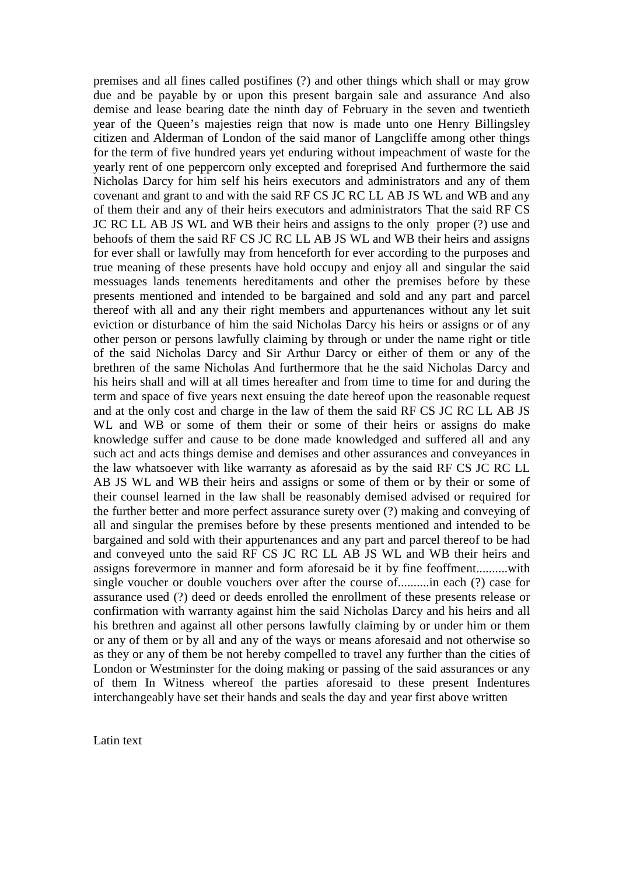premises and all fines called postifines (?) and other things which shall or may grow due and be payable by or upon this present bargain sale and assurance And also demise and lease bearing date the ninth day of February in the seven and twentieth year of the Queen's majesties reign that now is made unto one Henry Billingsley citizen and Alderman of London of the said manor of Langcliffe among other things for the term of five hundred years yet enduring without impeachment of waste for the yearly rent of one peppercorn only excepted and foreprised And furthermore the said Nicholas Darcy for him self his heirs executors and administrators and any of them covenant and grant to and with the said RF CS JC RC LL AB JS WL and WB and any of them their and any of their heirs executors and administrators That the said RF CS JC RC LL AB JS WL and WB their heirs and assigns to the only proper (?) use and behoofs of them the said RF CS JC RC LL AB JS WL and WB their heirs and assigns for ever shall or lawfully may from henceforth for ever according to the purposes and true meaning of these presents have hold occupy and enjoy all and singular the said messuages lands tenements hereditaments and other the premises before by these presents mentioned and intended to be bargained and sold and any part and parcel thereof with all and any their right members and appurtenances without any let suit eviction or disturbance of him the said Nicholas Darcy his heirs or assigns or of any other person or persons lawfully claiming by through or under the name right or title of the said Nicholas Darcy and Sir Arthur Darcy or either of them or any of the brethren of the same Nicholas And furthermore that he the said Nicholas Darcy and his heirs shall and will at all times hereafter and from time to time for and during the term and space of five years next ensuing the date hereof upon the reasonable request and at the only cost and charge in the law of them the said RF CS JC RC LL AB JS WL and WB or some of them their or some of their heirs or assigns do make knowledge suffer and cause to be done made knowledged and suffered all and any such act and acts things demise and demises and other assurances and conveyances in the law whatsoever with like warranty as aforesaid as by the said RF CS JC RC LL AB JS WL and WB their heirs and assigns or some of them or by their or some of their counsel learned in the law shall be reasonably demised advised or required for the further better and more perfect assurance surety over (?) making and conveying of all and singular the premises before by these presents mentioned and intended to be bargained and sold with their appurtenances and any part and parcel thereof to be had and conveyed unto the said RF CS JC RC LL AB JS WL and WB their heirs and assigns forevermore in manner and form aforesaid be it by fine feoffment..........with single voucher or double vouchers over after the course of..........in each (?) case for assurance used (?) deed or deeds enrolled the enrollment of these presents release or confirmation with warranty against him the said Nicholas Darcy and his heirs and all his brethren and against all other persons lawfully claiming by or under him or them or any of them or by all and any of the ways or means aforesaid and not otherwise so as they or any of them be not hereby compelled to travel any further than the cities of London or Westminster for the doing making or passing of the said assurances or any of them In Witness whereof the parties aforesaid to these present Indentures interchangeably have set their hands and seals the day and year first above written

Latin text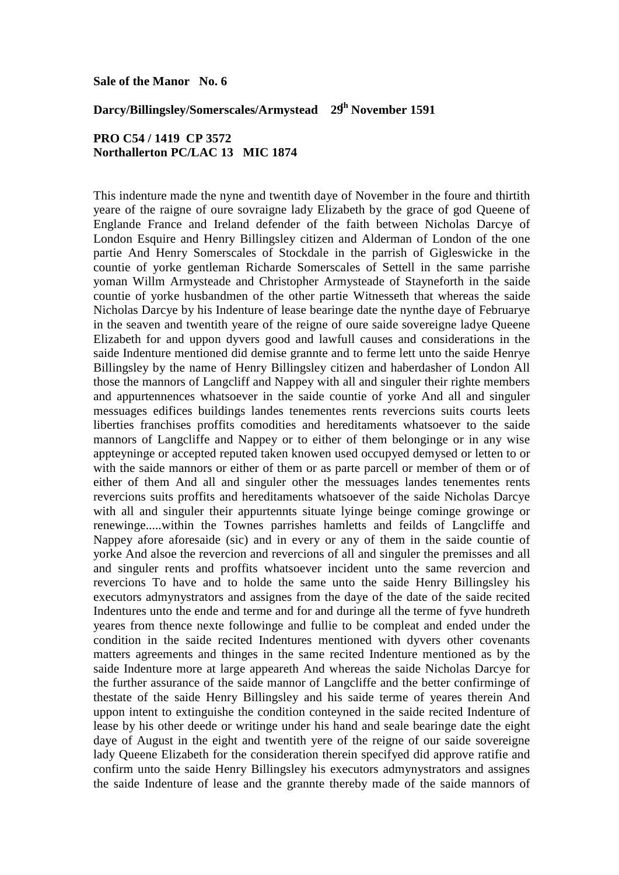### **Sale of the Manor No. 6**

# **Darcy/Billingsley/Somerscales/Armystead 29th November 1591**

# **PRO C54 / 1419 CP 3572 Northallerton PC/LAC 13 MIC 1874**

This indenture made the nyne and twentith daye of November in the foure and thirtith yeare of the raigne of oure sovraigne lady Elizabeth by the grace of god Queene of Englande France and Ireland defender of the faith between Nicholas Darcye of London Esquire and Henry Billingsley citizen and Alderman of London of the one partie And Henry Somerscales of Stockdale in the parrish of Gigleswicke in the countie of yorke gentleman Richarde Somerscales of Settell in the same parrishe yoman Willm Armysteade and Christopher Armysteade of Stayneforth in the saide countie of yorke husbandmen of the other partie Witnesseth that whereas the saide Nicholas Darcye by his Indenture of lease bearinge date the nynthe daye of Februarye in the seaven and twentith yeare of the reigne of oure saide sovereigne ladye Queene Elizabeth for and uppon dyvers good and lawfull causes and considerations in the saide Indenture mentioned did demise grannte and to ferme lett unto the saide Henrye Billingsley by the name of Henry Billingsley citizen and haberdasher of London All those the mannors of Langcliff and Nappey with all and singuler their righte members and appurtennences whatsoever in the saide countie of yorke And all and singuler messuages edifices buildings landes tenementes rents revercions suits courts leets liberties franchises proffits comodities and hereditaments whatsoever to the saide mannors of Langcliffe and Nappey or to either of them belonginge or in any wise appteyninge or accepted reputed taken knowen used occupyed demysed or letten to or with the saide mannors or either of them or as parte parcell or member of them or of either of them And all and singuler other the messuages landes tenementes rents revercions suits proffits and hereditaments whatsoever of the saide Nicholas Darcye with all and singuler their appurtennts situate lyinge beinge cominge growinge or renewinge.....within the Townes parrishes hamletts and feilds of Langcliffe and Nappey afore aforesaide (sic) and in every or any of them in the saide countie of yorke And alsoe the revercion and revercions of all and singuler the premisses and all and singuler rents and proffits whatsoever incident unto the same revercion and revercions To have and to holde the same unto the saide Henry Billingsley his executors admynystrators and assignes from the daye of the date of the saide recited Indentures unto the ende and terme and for and duringe all the terme of fyve hundreth yeares from thence nexte followinge and fullie to be compleat and ended under the condition in the saide recited Indentures mentioned with dyvers other covenants matters agreements and thinges in the same recited Indenture mentioned as by the saide Indenture more at large appeareth And whereas the saide Nicholas Darcye for the further assurance of the saide mannor of Langcliffe and the better confirminge of thestate of the saide Henry Billingsley and his saide terme of yeares therein And uppon intent to extinguishe the condition conteyned in the saide recited Indenture of lease by his other deede or writinge under his hand and seale bearinge date the eight daye of August in the eight and twentith yere of the reigne of our saide sovereigne lady Queene Elizabeth for the consideration therein specifyed did approve ratifie and confirm unto the saide Henry Billingsley his executors admynystrators and assignes the saide Indenture of lease and the grannte thereby made of the saide mannors of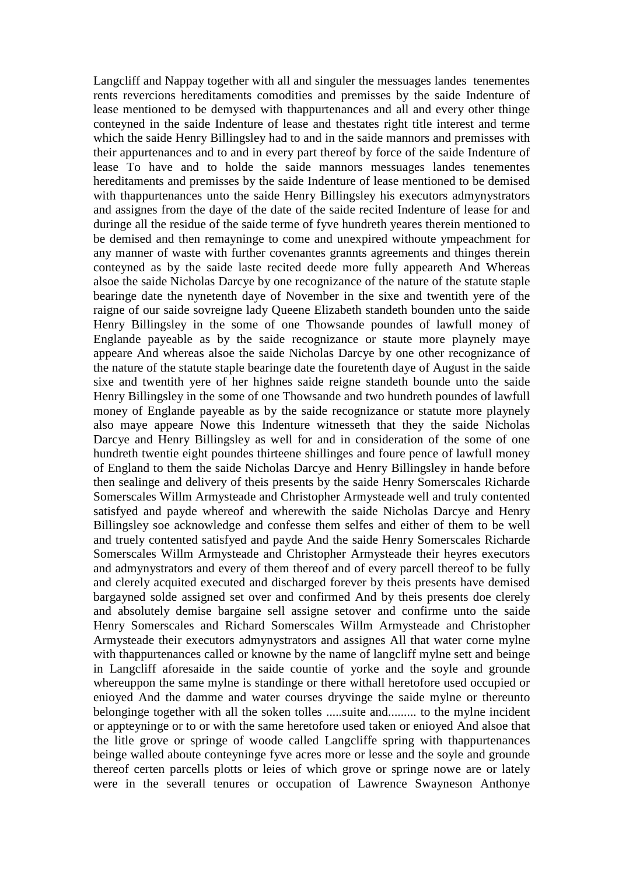Langcliff and Nappay together with all and singuler the messuages landes tenementes rents revercions hereditaments comodities and premisses by the saide Indenture of lease mentioned to be demysed with thappurtenances and all and every other thinge conteyned in the saide Indenture of lease and thestates right title interest and terme which the saide Henry Billingsley had to and in the saide mannors and premisses with their appurtenances and to and in every part thereof by force of the saide Indenture of lease To have and to holde the saide mannors messuages landes tenementes hereditaments and premisses by the saide Indenture of lease mentioned to be demised with thappurtenances unto the saide Henry Billingsley his executors admynystrators and assignes from the daye of the date of the saide recited Indenture of lease for and duringe all the residue of the saide terme of fyve hundreth yeares therein mentioned to be demised and then remayninge to come and unexpired withoute ympeachment for any manner of waste with further covenantes grannts agreements and thinges therein conteyned as by the saide laste recited deede more fully appeareth And Whereas alsoe the saide Nicholas Darcye by one recognizance of the nature of the statute staple bearinge date the nynetenth daye of November in the sixe and twentith yere of the raigne of our saide sovreigne lady Queene Elizabeth standeth bounden unto the saide Henry Billingsley in the some of one Thowsande poundes of lawfull money of Englande payeable as by the saide recognizance or staute more playnely maye appeare And whereas alsoe the saide Nicholas Darcye by one other recognizance of the nature of the statute staple bearinge date the fouretenth daye of August in the saide sixe and twentith yere of her highnes saide reigne standeth bounde unto the saide Henry Billingsley in the some of one Thowsande and two hundreth poundes of lawfull money of Englande payeable as by the saide recognizance or statute more playnely also maye appeare Nowe this Indenture witnesseth that they the saide Nicholas Darcye and Henry Billingsley as well for and in consideration of the some of one hundreth twentie eight poundes thirteene shillinges and foure pence of lawfull money of England to them the saide Nicholas Darcye and Henry Billingsley in hande before then sealinge and delivery of theis presents by the saide Henry Somerscales Richarde Somerscales Willm Armysteade and Christopher Armysteade well and truly contented satisfyed and payde whereof and wherewith the saide Nicholas Darcye and Henry Billingsley soe acknowledge and confesse them selfes and either of them to be well and truely contented satisfyed and payde And the saide Henry Somerscales Richarde Somerscales Willm Armysteade and Christopher Armysteade their heyres executors and admynystrators and every of them thereof and of every parcell thereof to be fully and clerely acquited executed and discharged forever by theis presents have demised bargayned solde assigned set over and confirmed And by theis presents doe clerely and absolutely demise bargaine sell assigne setover and confirme unto the saide Henry Somerscales and Richard Somerscales Willm Armysteade and Christopher Armysteade their executors admynystrators and assignes All that water corne mylne with thappurtenances called or knowne by the name of langcliff mylne sett and beinge in Langcliff aforesaide in the saide countie of yorke and the soyle and grounde whereuppon the same mylne is standinge or there withall heretofore used occupied or enioyed And the damme and water courses dryvinge the saide mylne or thereunto belonginge together with all the soken tolles .....suite and......... to the mylne incident or appteyninge or to or with the same heretofore used taken or enioyed And alsoe that the litle grove or springe of woode called Langcliffe spring with thappurtenances beinge walled aboute conteyninge fyve acres more or lesse and the soyle and grounde thereof certen parcells plotts or leies of which grove or springe nowe are or lately were in the severall tenures or occupation of Lawrence Swayneson Anthonye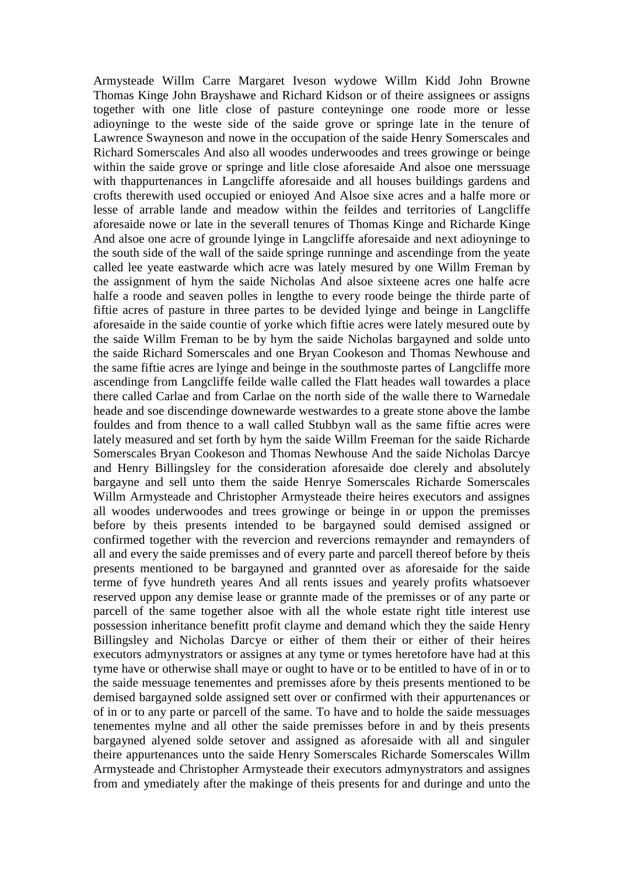Armysteade Willm Carre Margaret Iveson wydowe Willm Kidd John Browne Thomas Kinge John Brayshawe and Richard Kidson or of theire assignees or assigns together with one litle close of pasture conteyninge one roode more or lesse adioyninge to the weste side of the saide grove or springe late in the tenure of Lawrence Swayneson and nowe in the occupation of the saide Henry Somerscales and Richard Somerscales And also all woodes underwoodes and trees growinge or beinge within the saide grove or springe and litle close aforesaide And alsoe one merssuage with thappurtenances in Langcliffe aforesaide and all houses buildings gardens and crofts therewith used occupied or enioyed And Alsoe sixe acres and a halfe more or lesse of arrable lande and meadow within the feildes and territories of Langcliffe aforesaide nowe or late in the severall tenures of Thomas Kinge and Richarde Kinge And alsoe one acre of grounde lyinge in Langcliffe aforesaide and next adioyninge to the south side of the wall of the saide springe runninge and ascendinge from the yeate called lee yeate eastwarde which acre was lately mesured by one Willm Freman by the assignment of hym the saide Nicholas And alsoe sixteene acres one halfe acre halfe a roode and seaven polles in lengthe to every roode beinge the thirde parte of fiftie acres of pasture in three partes to be devided lyinge and beinge in Langcliffe aforesaide in the saide countie of yorke which fiftie acres were lately mesured oute by the saide Willm Freman to be by hym the saide Nicholas bargayned and solde unto the saide Richard Somerscales and one Bryan Cookeson and Thomas Newhouse and the same fiftie acres are lyinge and beinge in the southmoste partes of Langcliffe more ascendinge from Langcliffe feilde walle called the Flatt heades wall towardes a place there called Carlae and from Carlae on the north side of the walle there to Warnedale heade and soe discendinge downewarde westwardes to a greate stone above the lambe fouldes and from thence to a wall called Stubbyn wall as the same fiftie acres were lately measured and set forth by hym the saide Willm Freeman for the saide Richarde Somerscales Bryan Cookeson and Thomas Newhouse And the saide Nicholas Darcye and Henry Billingsley for the consideration aforesaide doe clerely and absolutely bargayne and sell unto them the saide Henrye Somerscales Richarde Somerscales Willm Armysteade and Christopher Armysteade theire heires executors and assignes all woodes underwoodes and trees growinge or beinge in or uppon the premisses before by theis presents intended to be bargayned sould demised assigned or confirmed together with the revercion and revercions remaynder and remaynders of all and every the saide premisses and of every parte and parcell thereof before by theis presents mentioned to be bargayned and grannted over as aforesaide for the saide terme of fyve hundreth yeares And all rents issues and yearely profits whatsoever reserved uppon any demise lease or grannte made of the premisses or of any parte or parcell of the same together alsoe with all the whole estate right title interest use possession inheritance benefitt profit clayme and demand which they the saide Henry Billingsley and Nicholas Darcye or either of them their or either of their heires executors admynystrators or assignes at any tyme or tymes heretofore have had at this tyme have or otherwise shall maye or ought to have or to be entitled to have of in or to the saide messuage tenementes and premisses afore by theis presents mentioned to be demised bargayned solde assigned sett over or confirmed with their appurtenances or of in or to any parte or parcell of the same. To have and to holde the saide messuages tenementes mylne and all other the saide premisses before in and by theis presents bargayned alyened solde setover and assigned as aforesaide with all and singuler theire appurtenances unto the saide Henry Somerscales Richarde Somerscales Willm Armysteade and Christopher Armysteade their executors admynystrators and assignes from and ymediately after the makinge of theis presents for and duringe and unto the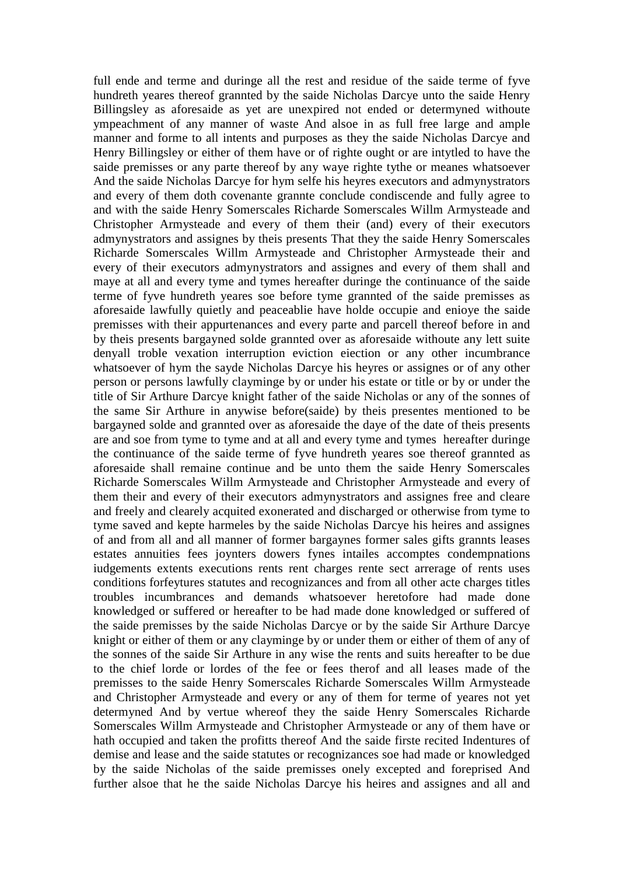full ende and terme and duringe all the rest and residue of the saide terme of fyve hundreth yeares thereof grannted by the saide Nicholas Darcye unto the saide Henry Billingsley as aforesaide as yet are unexpired not ended or determyned withoute ympeachment of any manner of waste And alsoe in as full free large and ample manner and forme to all intents and purposes as they the saide Nicholas Darcye and Henry Billingsley or either of them have or of righte ought or are intytled to have the saide premisses or any parte thereof by any waye righte tythe or meanes whatsoever And the saide Nicholas Darcye for hym selfe his heyres executors and admynystrators and every of them doth covenante grannte conclude condiscende and fully agree to and with the saide Henry Somerscales Richarde Somerscales Willm Armysteade and Christopher Armysteade and every of them their (and) every of their executors admynystrators and assignes by theis presents That they the saide Henry Somerscales Richarde Somerscales Willm Armysteade and Christopher Armysteade their and every of their executors admynystrators and assignes and every of them shall and maye at all and every tyme and tymes hereafter duringe the continuance of the saide terme of fyve hundreth yeares soe before tyme grannted of the saide premisses as aforesaide lawfully quietly and peaceablie have holde occupie and enioye the saide premisses with their appurtenances and every parte and parcell thereof before in and by theis presents bargayned solde grannted over as aforesaide withoute any lett suite denyall troble vexation interruption eviction eiection or any other incumbrance whatsoever of hym the sayde Nicholas Darcye his heyres or assignes or of any other person or persons lawfully clayminge by or under his estate or title or by or under the title of Sir Arthure Darcye knight father of the saide Nicholas or any of the sonnes of the same Sir Arthure in anywise before(saide) by theis presentes mentioned to be bargayned solde and grannted over as aforesaide the daye of the date of theis presents are and soe from tyme to tyme and at all and every tyme and tymes hereafter duringe the continuance of the saide terme of fyve hundreth yeares soe thereof grannted as aforesaide shall remaine continue and be unto them the saide Henry Somerscales Richarde Somerscales Willm Armysteade and Christopher Armysteade and every of them their and every of their executors admynystrators and assignes free and cleare and freely and clearely acquited exonerated and discharged or otherwise from tyme to tyme saved and kepte harmeles by the saide Nicholas Darcye his heires and assignes of and from all and all manner of former bargaynes former sales gifts grannts leases estates annuities fees joynters dowers fynes intailes accomptes condempnations iudgements extents executions rents rent charges rente sect arrerage of rents uses conditions forfeytures statutes and recognizances and from all other acte charges titles troubles incumbrances and demands whatsoever heretofore had made done knowledged or suffered or hereafter to be had made done knowledged or suffered of the saide premisses by the saide Nicholas Darcye or by the saide Sir Arthure Darcye knight or either of them or any clayminge by or under them or either of them of any of the sonnes of the saide Sir Arthure in any wise the rents and suits hereafter to be due to the chief lorde or lordes of the fee or fees therof and all leases made of the premisses to the saide Henry Somerscales Richarde Somerscales Willm Armysteade and Christopher Armysteade and every or any of them for terme of yeares not yet determyned And by vertue whereof they the saide Henry Somerscales Richarde Somerscales Willm Armysteade and Christopher Armysteade or any of them have or hath occupied and taken the profitts thereof And the saide firste recited Indentures of demise and lease and the saide statutes or recognizances soe had made or knowledged by the saide Nicholas of the saide premisses onely excepted and foreprised And further alsoe that he the saide Nicholas Darcye his heires and assignes and all and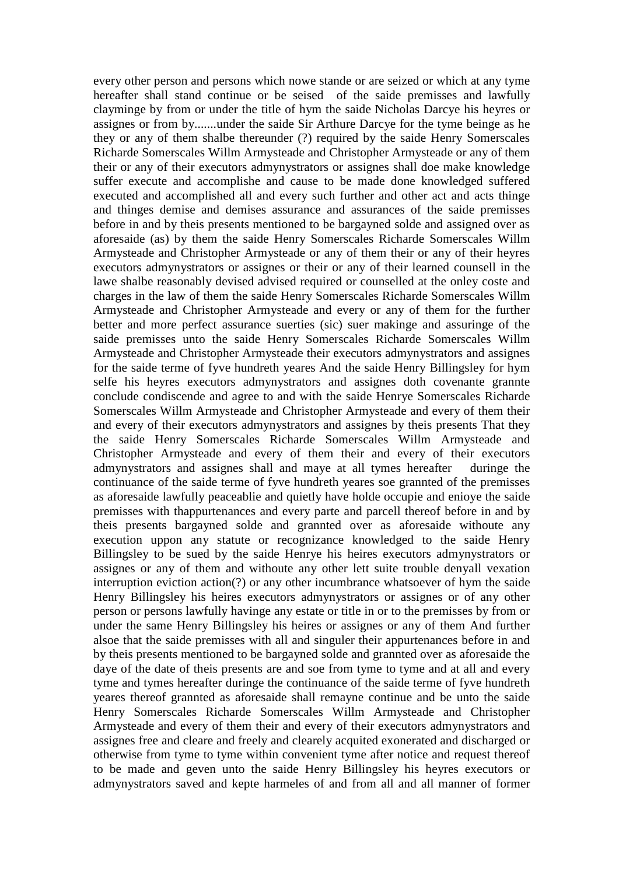every other person and persons which nowe stande or are seized or which at any tyme hereafter shall stand continue or be seised of the saide premisses and lawfully clayminge by from or under the title of hym the saide Nicholas Darcye his heyres or assignes or from by.......under the saide Sir Arthure Darcye for the tyme beinge as he they or any of them shalbe thereunder (?) required by the saide Henry Somerscales Richarde Somerscales Willm Armysteade and Christopher Armysteade or any of them their or any of their executors admynystrators or assignes shall doe make knowledge suffer execute and accomplishe and cause to be made done knowledged suffered executed and accomplished all and every such further and other act and acts thinge and thinges demise and demises assurance and assurances of the saide premisses before in and by theis presents mentioned to be bargayned solde and assigned over as aforesaide (as) by them the saide Henry Somerscales Richarde Somerscales Willm Armysteade and Christopher Armysteade or any of them their or any of their heyres executors admynystrators or assignes or their or any of their learned counsell in the lawe shalbe reasonably devised advised required or counselled at the onley coste and charges in the law of them the saide Henry Somerscales Richarde Somerscales Willm Armysteade and Christopher Armysteade and every or any of them for the further better and more perfect assurance suerties (sic) suer makinge and assuringe of the saide premisses unto the saide Henry Somerscales Richarde Somerscales Willm Armysteade and Christopher Armysteade their executors admynystrators and assignes for the saide terme of fyve hundreth yeares And the saide Henry Billingsley for hym selfe his heyres executors admynystrators and assignes doth covenante grannte conclude condiscende and agree to and with the saide Henrye Somerscales Richarde Somerscales Willm Armysteade and Christopher Armysteade and every of them their and every of their executors admynystrators and assignes by theis presents That they the saide Henry Somerscales Richarde Somerscales Willm Armysteade and Christopher Armysteade and every of them their and every of their executors admynystrators and assignes shall and maye at all tymes hereafter duringe the continuance of the saide terme of fyve hundreth yeares soe grannted of the premisses as aforesaide lawfully peaceablie and quietly have holde occupie and enioye the saide premisses with thappurtenances and every parte and parcell thereof before in and by theis presents bargayned solde and grannted over as aforesaide withoute any execution uppon any statute or recognizance knowledged to the saide Henry Billingsley to be sued by the saide Henrye his heires executors admynystrators or assignes or any of them and withoute any other lett suite trouble denyall vexation interruption eviction action(?) or any other incumbrance whatsoever of hym the saide Henry Billingsley his heires executors admynystrators or assignes or of any other person or persons lawfully havinge any estate or title in or to the premisses by from or under the same Henry Billingsley his heires or assignes or any of them And further alsoe that the saide premisses with all and singuler their appurtenances before in and by theis presents mentioned to be bargayned solde and grannted over as aforesaide the daye of the date of theis presents are and soe from tyme to tyme and at all and every tyme and tymes hereafter duringe the continuance of the saide terme of fyve hundreth yeares thereof grannted as aforesaide shall remayne continue and be unto the saide Henry Somerscales Richarde Somerscales Willm Armysteade and Christopher Armysteade and every of them their and every of their executors admynystrators and assignes free and cleare and freely and clearely acquited exonerated and discharged or otherwise from tyme to tyme within convenient tyme after notice and request thereof to be made and geven unto the saide Henry Billingsley his heyres executors or admynystrators saved and kepte harmeles of and from all and all manner of former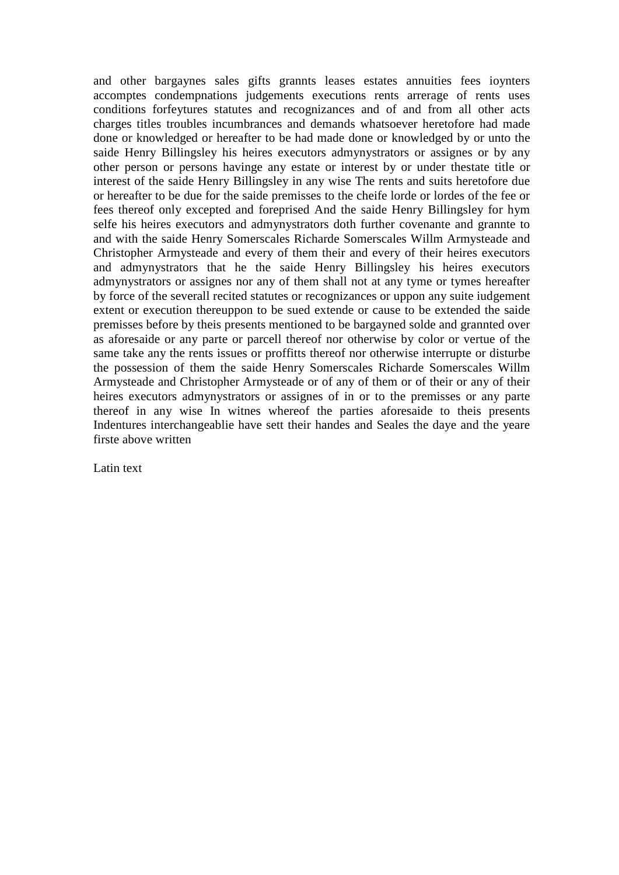and other bargaynes sales gifts grannts leases estates annuities fees ioynters accomptes condempnations judgements executions rents arrerage of rents uses conditions forfeytures statutes and recognizances and of and from all other acts charges titles troubles incumbrances and demands whatsoever heretofore had made done or knowledged or hereafter to be had made done or knowledged by or unto the saide Henry Billingsley his heires executors admynystrators or assignes or by any other person or persons havinge any estate or interest by or under thestate title or interest of the saide Henry Billingsley in any wise The rents and suits heretofore due or hereafter to be due for the saide premisses to the cheife lorde or lordes of the fee or fees thereof only excepted and foreprised And the saide Henry Billingsley for hym selfe his heires executors and admynystrators doth further covenante and grannte to and with the saide Henry Somerscales Richarde Somerscales Willm Armysteade and Christopher Armysteade and every of them their and every of their heires executors and admynystrators that he the saide Henry Billingsley his heires executors admynystrators or assignes nor any of them shall not at any tyme or tymes hereafter by force of the severall recited statutes or recognizances or uppon any suite iudgement extent or execution thereuppon to be sued extende or cause to be extended the saide premisses before by theis presents mentioned to be bargayned solde and grannted over as aforesaide or any parte or parcell thereof nor otherwise by color or vertue of the same take any the rents issues or proffitts thereof nor otherwise interrupte or disturbe the possession of them the saide Henry Somerscales Richarde Somerscales Willm Armysteade and Christopher Armysteade or of any of them or of their or any of their heires executors admynystrators or assignes of in or to the premisses or any parte thereof in any wise In witnes whereof the parties aforesaide to theis presents Indentures interchangeablie have sett their handes and Seales the daye and the yeare firste above written

Latin text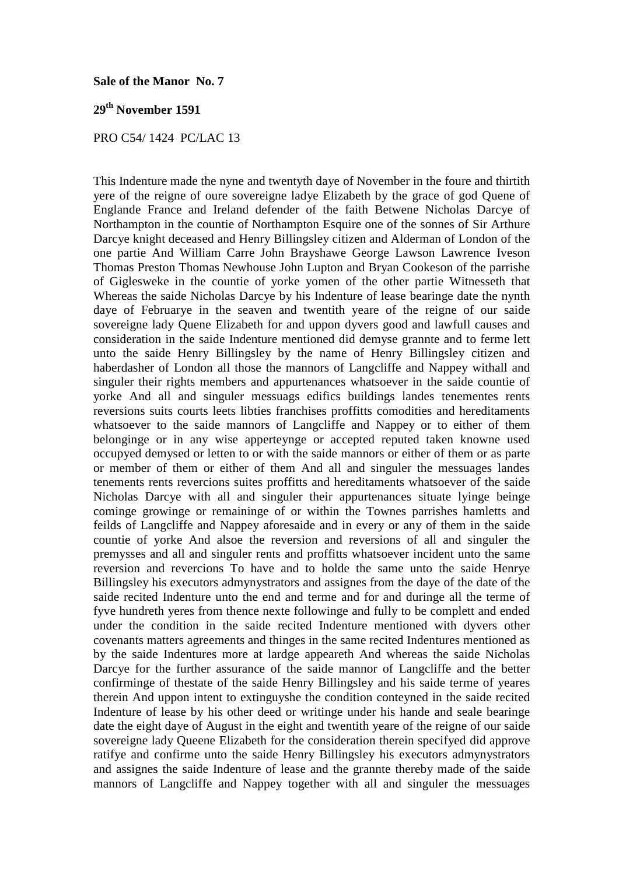#### **Sale of the Manor No. 7**

# **29th November 1591**

## PRO C54/ 1424 PC/LAC 13

This Indenture made the nyne and twentyth daye of November in the foure and thirtith yere of the reigne of oure sovereigne ladye Elizabeth by the grace of god Quene of Englande France and Ireland defender of the faith Betwene Nicholas Darcye of Northampton in the countie of Northampton Esquire one of the sonnes of Sir Arthure Darcye knight deceased and Henry Billingsley citizen and Alderman of London of the one partie And William Carre John Brayshawe George Lawson Lawrence Iveson Thomas Preston Thomas Newhouse John Lupton and Bryan Cookeson of the parrishe of Giglesweke in the countie of yorke yomen of the other partie Witnesseth that Whereas the saide Nicholas Darcye by his Indenture of lease bearinge date the nynth daye of Februarye in the seaven and twentith yeare of the reigne of our saide sovereigne lady Quene Elizabeth for and uppon dyvers good and lawfull causes and consideration in the saide Indenture mentioned did demyse grannte and to ferme lett unto the saide Henry Billingsley by the name of Henry Billingsley citizen and haberdasher of London all those the mannors of Langcliffe and Nappey withall and singuler their rights members and appurtenances whatsoever in the saide countie of yorke And all and singuler messuags edifics buildings landes tenementes rents reversions suits courts leets libties franchises proffitts comodities and hereditaments whatsoever to the saide mannors of Langcliffe and Nappey or to either of them belonginge or in any wise apperteynge or accepted reputed taken knowne used occupyed demysed or letten to or with the saide mannors or either of them or as parte or member of them or either of them And all and singuler the messuages landes tenements rents revercions suites proffitts and hereditaments whatsoever of the saide Nicholas Darcye with all and singuler their appurtenances situate lyinge beinge cominge growinge or remaininge of or within the Townes parrishes hamletts and feilds of Langcliffe and Nappey aforesaide and in every or any of them in the saide countie of yorke And alsoe the reversion and reversions of all and singuler the premysses and all and singuler rents and proffitts whatsoever incident unto the same reversion and revercions To have and to holde the same unto the saide Henrye Billingsley his executors admynystrators and assignes from the daye of the date of the saide recited Indenture unto the end and terme and for and duringe all the terme of fyve hundreth yeres from thence nexte followinge and fully to be complett and ended under the condition in the saide recited Indenture mentioned with dyvers other covenants matters agreements and thinges in the same recited Indentures mentioned as by the saide Indentures more at lardge appeareth And whereas the saide Nicholas Darcye for the further assurance of the saide mannor of Langcliffe and the better confirminge of thestate of the saide Henry Billingsley and his saide terme of yeares therein And uppon intent to extinguyshe the condition conteyned in the saide recited Indenture of lease by his other deed or writinge under his hande and seale bearinge date the eight daye of August in the eight and twentith yeare of the reigne of our saide sovereigne lady Queene Elizabeth for the consideration therein specifyed did approve ratifye and confirme unto the saide Henry Billingsley his executors admynystrators and assignes the saide Indenture of lease and the grannte thereby made of the saide mannors of Langcliffe and Nappey together with all and singuler the messuages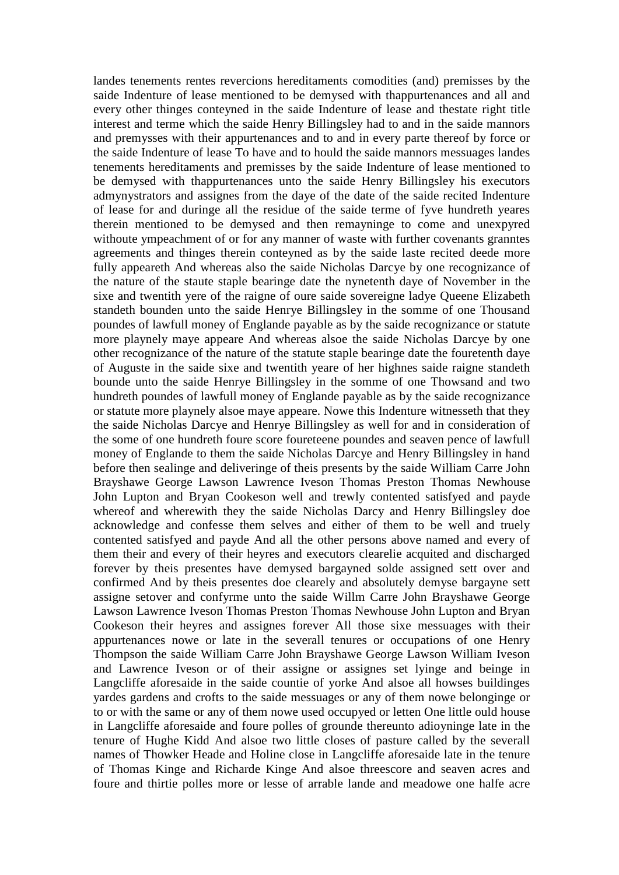landes tenements rentes revercions hereditaments comodities (and) premisses by the saide Indenture of lease mentioned to be demysed with thappurtenances and all and every other thinges conteyned in the saide Indenture of lease and thestate right title interest and terme which the saide Henry Billingsley had to and in the saide mannors and premysses with their appurtenances and to and in every parte thereof by force or the saide Indenture of lease To have and to hould the saide mannors messuages landes tenements hereditaments and premisses by the saide Indenture of lease mentioned to be demysed with thappurtenances unto the saide Henry Billingsley his executors admynystrators and assignes from the daye of the date of the saide recited Indenture of lease for and duringe all the residue of the saide terme of fyve hundreth yeares therein mentioned to be demysed and then remayninge to come and unexpyred withoute ympeachment of or for any manner of waste with further covenants granntes agreements and thinges therein conteyned as by the saide laste recited deede more fully appeareth And whereas also the saide Nicholas Darcye by one recognizance of the nature of the staute staple bearinge date the nynetenth daye of November in the sixe and twentith yere of the raigne of oure saide sovereigne ladye Queene Elizabeth standeth bounden unto the saide Henrye Billingsley in the somme of one Thousand poundes of lawfull money of Englande payable as by the saide recognizance or statute more playnely maye appeare And whereas alsoe the saide Nicholas Darcye by one other recognizance of the nature of the statute staple bearinge date the fouretenth daye of Auguste in the saide sixe and twentith yeare of her highnes saide raigne standeth bounde unto the saide Henrye Billingsley in the somme of one Thowsand and two hundreth poundes of lawfull money of Englande payable as by the saide recognizance or statute more playnely alsoe maye appeare. Nowe this Indenture witnesseth that they the saide Nicholas Darcye and Henrye Billingsley as well for and in consideration of the some of one hundreth foure score foureteene poundes and seaven pence of lawfull money of Englande to them the saide Nicholas Darcye and Henry Billingsley in hand before then sealinge and deliveringe of theis presents by the saide William Carre John Brayshawe George Lawson Lawrence Iveson Thomas Preston Thomas Newhouse John Lupton and Bryan Cookeson well and trewly contented satisfyed and payde whereof and wherewith they the saide Nicholas Darcy and Henry Billingsley doe acknowledge and confesse them selves and either of them to be well and truely contented satisfyed and payde And all the other persons above named and every of them their and every of their heyres and executors clearelie acquited and discharged forever by theis presentes have demysed bargayned solde assigned sett over and confirmed And by theis presentes doe clearely and absolutely demyse bargayne sett assigne setover and confyrme unto the saide Willm Carre John Brayshawe George Lawson Lawrence Iveson Thomas Preston Thomas Newhouse John Lupton and Bryan Cookeson their heyres and assignes forever All those sixe messuages with their appurtenances nowe or late in the severall tenures or occupations of one Henry Thompson the saide William Carre John Brayshawe George Lawson William Iveson and Lawrence Iveson or of their assigne or assignes set lyinge and beinge in Langcliffe aforesaide in the saide countie of yorke And alsoe all howses buildinges yardes gardens and crofts to the saide messuages or any of them nowe belonginge or to or with the same or any of them nowe used occupyed or letten One little ould house in Langcliffe aforesaide and foure polles of grounde thereunto adioyninge late in the tenure of Hughe Kidd And alsoe two little closes of pasture called by the severall names of Thowker Heade and Holine close in Langcliffe aforesaide late in the tenure of Thomas Kinge and Richarde Kinge And alsoe threescore and seaven acres and foure and thirtie polles more or lesse of arrable lande and meadowe one halfe acre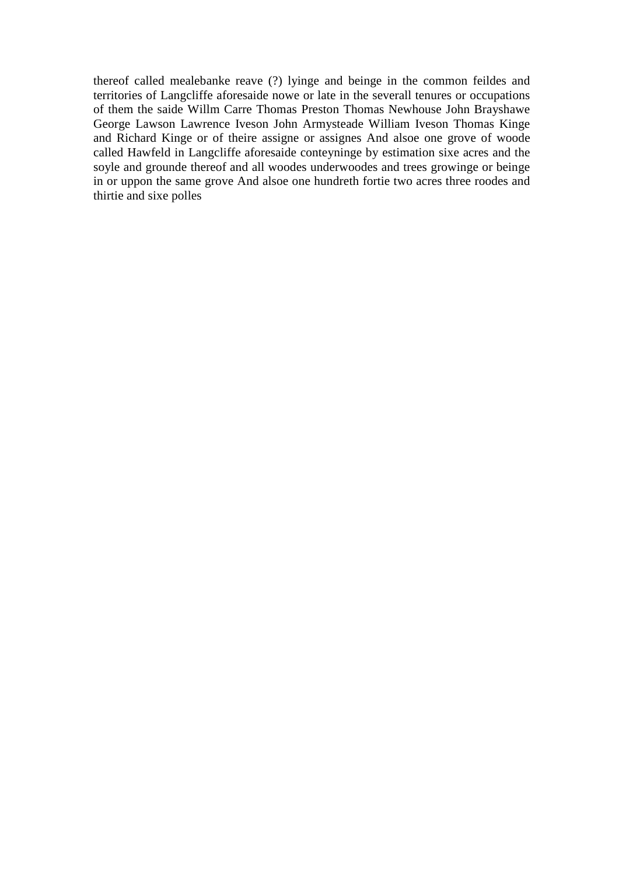thereof called mealebanke reave (?) lyinge and beinge in the common feildes and territories of Langcliffe aforesaide nowe or late in the severall tenures or occupations of them the saide Willm Carre Thomas Preston Thomas Newhouse John Brayshawe George Lawson Lawrence Iveson John Armysteade William Iveson Thomas Kinge and Richard Kinge or of theire assigne or assignes And alsoe one grove of woode called Hawfeld in Langcliffe aforesaide conteyninge by estimation sixe acres and the soyle and grounde thereof and all woodes underwoodes and trees growinge or beinge in or uppon the same grove And alsoe one hundreth fortie two acres three roodes and thirtie and sixe polles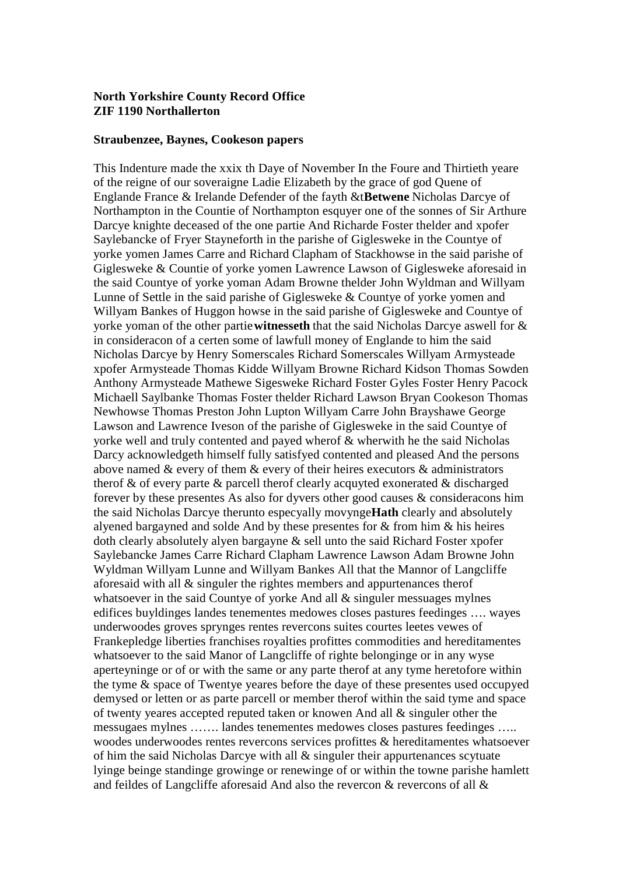## **North Yorkshire County Record Office ZIF 1190 Northallerton**

#### **Straubenzee, Baynes, Cookeson papers**

This Indenture made the xxix th Daye of November In the Foure and Thirtieth yeare of the reigne of our soveraigne Ladie Elizabeth by the grace of god Quene of Englande France & Irelande Defender of the fayth &t**Betwene** Nicholas Darcye of Northampton in the Countie of Northampton esquyer one of the sonnes of Sir Arthure Darcye knighte deceased of the one partie And Richarde Foster thelder and xpofer Saylebancke of Fryer Stayneforth in the parishe of Giglesweke in the Countye of yorke yomen James Carre and Richard Clapham of Stackhowse in the said parishe of Giglesweke & Countie of yorke yomen Lawrence Lawson of Giglesweke aforesaid in the said Countye of yorke yoman Adam Browne thelder John Wyldman and Willyam Lunne of Settle in the said parishe of Giglesweke & Countye of yorke yomen and Willyam Bankes of Huggon howse in the said parishe of Giglesweke and Countye of yorke yoman of the other partie**witnesseth** that the said Nicholas Darcye aswell for & in consideracon of a certen some of lawfull money of Englande to him the said Nicholas Darcye by Henry Somerscales Richard Somerscales Willyam Armysteade xpofer Armysteade Thomas Kidde Willyam Browne Richard Kidson Thomas Sowden Anthony Armysteade Mathewe Sigesweke Richard Foster Gyles Foster Henry Pacock Michaell Saylbanke Thomas Foster thelder Richard Lawson Bryan Cookeson Thomas Newhowse Thomas Preston John Lupton Willyam Carre John Brayshawe George Lawson and Lawrence Iveson of the parishe of Giglesweke in the said Countye of yorke well and truly contented and payed wherof & wherwith he the said Nicholas Darcy acknowledgeth himself fully satisfyed contented and pleased And the persons above named & every of them & every of their heires executors & administrators therof & of every parte & parcell therof clearly acquyted exonerated & discharged forever by these presentes As also for dyvers other good causes & consideracons him the said Nicholas Darcye therunto especyally movynge**Hath** clearly and absolutely alyened bargayned and solde And by these presentes for & from him & his heires doth clearly absolutely alyen bargayne & sell unto the said Richard Foster xpofer Saylebancke James Carre Richard Clapham Lawrence Lawson Adam Browne John Wyldman Willyam Lunne and Willyam Bankes All that the Mannor of Langcliffe aforesaid with all & singuler the rightes members and appurtenances therof whatsoever in the said Countye of yorke And all & singuler messuages mylnes edifices buyldinges landes tenementes medowes closes pastures feedinges …. wayes underwoodes groves sprynges rentes revercons suites courtes leetes vewes of Frankepledge liberties franchises royalties profittes commodities and hereditamentes whatsoever to the said Manor of Langcliffe of righte belonginge or in any wyse aperteyninge or of or with the same or any parte therof at any tyme heretofore within the tyme & space of Twentye yeares before the daye of these presentes used occupyed demysed or letten or as parte parcell or member therof within the said tyme and space of twenty yeares accepted reputed taken or knowen And all & singuler other the messugaes mylnes ……. landes tenementes medowes closes pastures feedinges ….. woodes underwoodes rentes revercons services profittes & hereditamentes whatsoever of him the said Nicholas Darcye with all  $\&$  singuler their appurtenances scytuate lyinge beinge standinge growinge or renewinge of or within the towne parishe hamlett and feildes of Langcliffe aforesaid And also the revercon & revercons of all &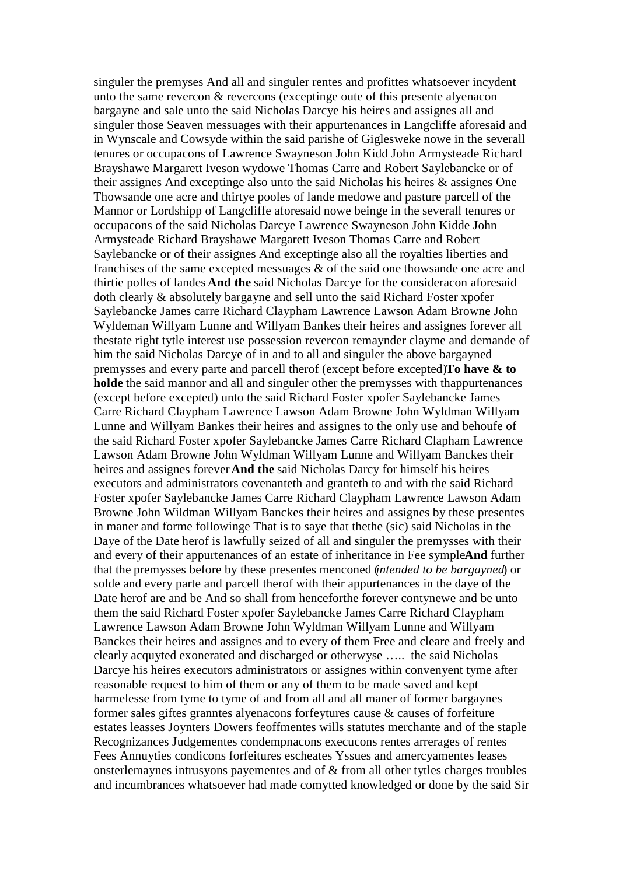singuler the premyses And all and singuler rentes and profittes whatsoever incydent unto the same revercon & revercons (exceptinge oute of this presente alyenacon bargayne and sale unto the said Nicholas Darcye his heires and assignes all and singuler those Seaven messuages with their appurtenances in Langcliffe aforesaid and in Wynscale and Cowsyde within the said parishe of Giglesweke nowe in the severall tenures or occupacons of Lawrence Swayneson John Kidd John Armysteade Richard Brayshawe Margarett Iveson wydowe Thomas Carre and Robert Saylebancke or of their assignes And exceptinge also unto the said Nicholas his heires & assignes One Thowsande one acre and thirtye pooles of lande medowe and pasture parcell of the Mannor or Lordshipp of Langcliffe aforesaid nowe beinge in the severall tenures or occupacons of the said Nicholas Darcye Lawrence Swayneson John Kidde John Armysteade Richard Brayshawe Margarett Iveson Thomas Carre and Robert Saylebancke or of their assignes And exceptinge also all the royalties liberties and franchises of the same excepted messuages & of the said one thowsande one acre and thirtie polles of landes **And the** said Nicholas Darcye for the consideracon aforesaid doth clearly & absolutely bargayne and sell unto the said Richard Foster xpofer Saylebancke James carre Richard Claypham Lawrence Lawson Adam Browne John Wyldeman Willyam Lunne and Willyam Bankes their heires and assignes forever all thestate right tytle interest use possession revercon remaynder clayme and demande of him the said Nicholas Darcye of in and to all and singuler the above bargayned premysses and every parte and parcell therof (except before excepted)**To have & to holde** the said mannor and all and singuler other the premysses with thappurtenances (except before excepted) unto the said Richard Foster xpofer Saylebancke James Carre Richard Claypham Lawrence Lawson Adam Browne John Wyldman Willyam Lunne and Willyam Bankes their heires and assignes to the only use and behoufe of the said Richard Foster xpofer Saylebancke James Carre Richard Clapham Lawrence Lawson Adam Browne John Wyldman Willyam Lunne and Willyam Banckes their heires and assignes forever**And the** said Nicholas Darcy for himself his heires executors and administrators covenanteth and granteth to and with the said Richard Foster xpofer Saylebancke James Carre Richard Claypham Lawrence Lawson Adam Browne John Wildman Willyam Banckes their heires and assignes by these presentes in maner and forme followinge That is to saye that thethe (sic) said Nicholas in the Daye of the Date herof is lawfully seized of all and singuler the premysses with their and every of their appurtenances of an estate of inheritance in Fee symple**And** further that the premysses before by these presentes menconed (*intended to be bargayned*) or solde and every parte and parcell therof with their appurtenances in the daye of the Date herof are and be And so shall from henceforthe forever contynewe and be unto them the said Richard Foster xpofer Saylebancke James Carre Richard Claypham Lawrence Lawson Adam Browne John Wyldman Willyam Lunne and Willyam Banckes their heires and assignes and to every of them Free and cleare and freely and clearly acquyted exonerated and discharged or otherwyse ….. the said Nicholas Darcye his heires executors administrators or assignes within convenyent tyme after reasonable request to him of them or any of them to be made saved and kept harmelesse from tyme to tyme of and from all and all maner of former bargaynes former sales giftes granntes alyenacons forfeytures cause & causes of forfeiture estates leasses Joynters Dowers feoffmentes wills statutes merchante and of the staple Recognizances Judgementes condempnacons execucons rentes arrerages of rentes Fees Annuyties condicons forfeitures escheates Yssues and amercyamentes leases onsterlemaynes intrusyons payementes and of & from all other tytles charges troubles and incumbrances whatsoever had made comytted knowledged or done by the said Sir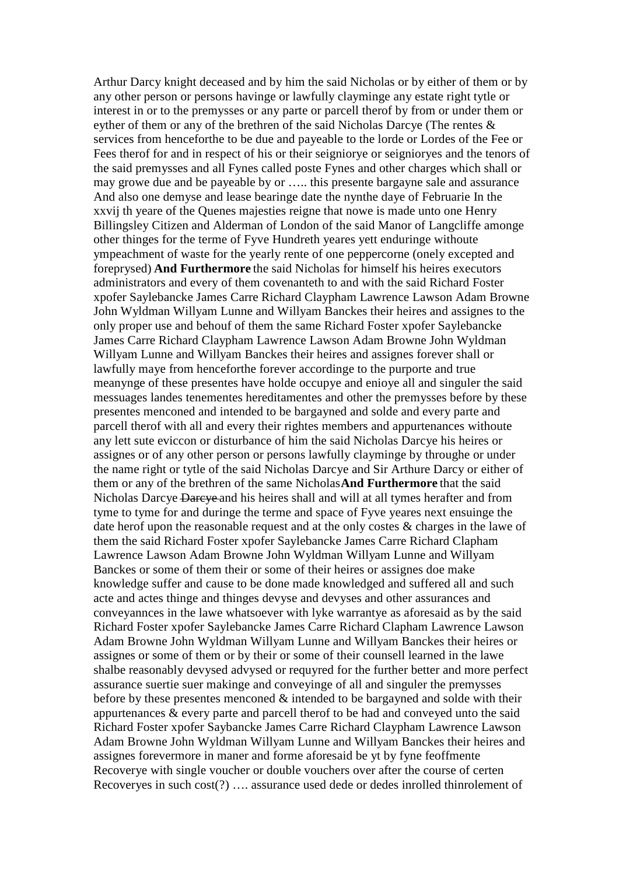Arthur Darcy knight deceased and by him the said Nicholas or by either of them or by any other person or persons havinge or lawfully clayminge any estate right tytle or interest in or to the premysses or any parte or parcell therof by from or under them or eyther of them or any of the brethren of the said Nicholas Darcye (The rentes & services from henceforthe to be due and payeable to the lorde or Lordes of the Fee or Fees therof for and in respect of his or their seigniorye or seignioryes and the tenors of the said premysses and all Fynes called poste Fynes and other charges which shall or may growe due and be payeable by or ….. this presente bargayne sale and assurance And also one demyse and lease bearinge date the nynthe daye of Februarie In the xxvij th yeare of the Quenes majesties reigne that nowe is made unto one Henry Billingsley Citizen and Alderman of London of the said Manor of Langcliffe amonge other thinges for the terme of Fyve Hundreth yeares yett enduringe withoute ympeachment of waste for the yearly rente of one peppercorne (onely excepted and foreprysed) **And Furthermore** the said Nicholas for himself his heires executors administrators and every of them covenanteth to and with the said Richard Foster xpofer Saylebancke James Carre Richard Claypham Lawrence Lawson Adam Browne John Wyldman Willyam Lunne and Willyam Banckes their heires and assignes to the only proper use and behouf of them the same Richard Foster xpofer Saylebancke James Carre Richard Claypham Lawrence Lawson Adam Browne John Wyldman Willyam Lunne and Willyam Banckes their heires and assignes forever shall or lawfully maye from henceforthe forever accordinge to the purporte and true meanynge of these presentes have holde occupye and enioye all and singuler the said messuages landes tenementes hereditamentes and other the premysses before by these presentes menconed and intended to be bargayned and solde and every parte and parcell therof with all and every their rightes members and appurtenances withoute any lett sute eviccon or disturbance of him the said Nicholas Darcye his heires or assignes or of any other person or persons lawfully clayminge by throughe or under the name right or tytle of the said Nicholas Darcye and Sir Arthure Darcy or either of them or any of the brethren of the same Nicholas**And Furthermore** that the said Nicholas Darcye Darcye and his heires shall and will at all tymes herafter and from tyme to tyme for and duringe the terme and space of Fyve yeares next ensuinge the date herof upon the reasonable request and at the only costes & charges in the lawe of them the said Richard Foster xpofer Saylebancke James Carre Richard Clapham Lawrence Lawson Adam Browne John Wyldman Willyam Lunne and Willyam Banckes or some of them their or some of their heires or assignes doe make knowledge suffer and cause to be done made knowledged and suffered all and such acte and actes thinge and thinges devyse and devyses and other assurances and conveyannces in the lawe whatsoever with lyke warrantye as aforesaid as by the said Richard Foster xpofer Saylebancke James Carre Richard Clapham Lawrence Lawson Adam Browne John Wyldman Willyam Lunne and Willyam Banckes their heires or assignes or some of them or by their or some of their counsell learned in the lawe shalbe reasonably devysed advysed or requyred for the further better and more perfect assurance suertie suer makinge and conveyinge of all and singuler the premysses before by these presentes menconed & intended to be bargayned and solde with their appurtenances & every parte and parcell therof to be had and conveyed unto the said Richard Foster xpofer Saybancke James Carre Richard Claypham Lawrence Lawson Adam Browne John Wyldman Willyam Lunne and Willyam Banckes their heires and assignes forevermore in maner and forme aforesaid be yt by fyne feoffmente Recoverye with single voucher or double vouchers over after the course of certen Recoveryes in such cost(?) …. assurance used dede or dedes inrolled thinrolement of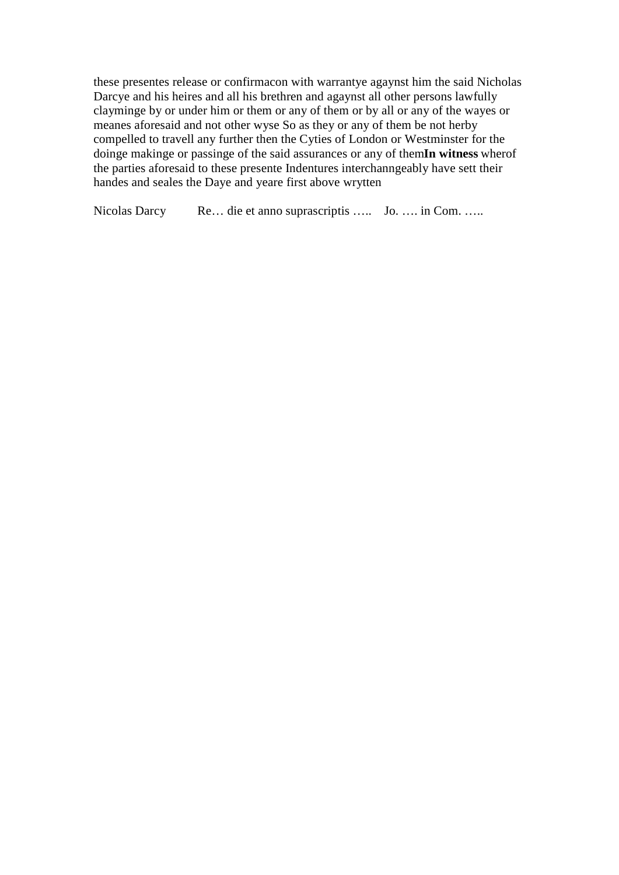these presentes release or confirmation with warrantye agaynst him the said Nicholas Darcye and his heires and all his brethren and agaynst all other persons lawfully clayminge by or under him or them or any of them or by all or any of the wayes or meanes aforesaid and not other wyse So as they or any of them be not herby compelled to travell any further then the Cyties of London or Westminster for the doinge making or passing of the said assurances or any of themIn witness where of the parties aforesaid to these presente Indentures interchanngeably have sett their handes and seales the Daye and yeare first above wrytten

Nicolas Darcy Re... die et anno suprascriptis ..... Jo. .... in Com. .....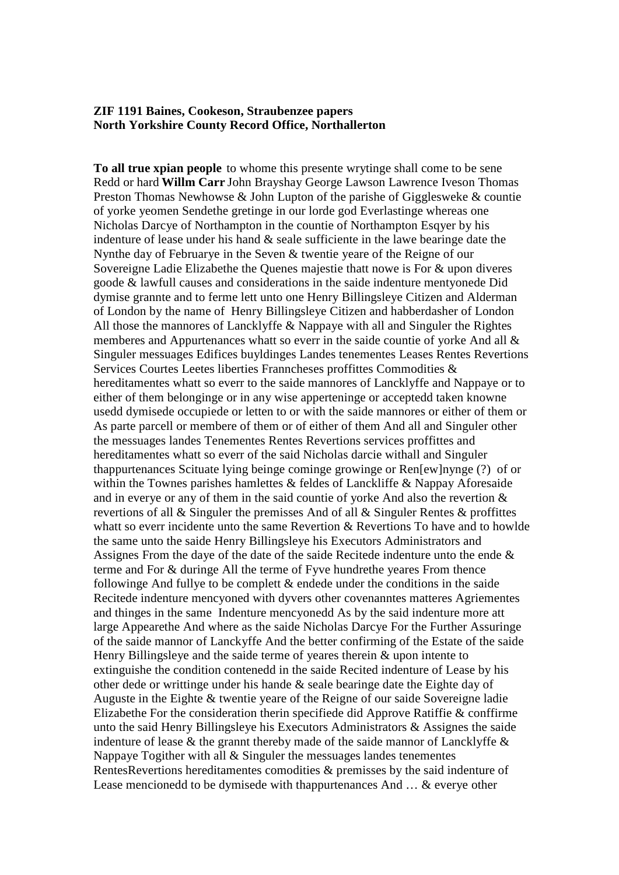## **ZIF 1191 Baines, Cookeson, Straubenzee papers North Yorkshire County Record Office, Northallerton**

To all true xpian people to whome this presente wrytinge shall come to be sene Redd or hard Willm Carr John Brayshay George Lawson Lawrence Iveson Thomas Preston Thomas Newhowse & John Lupton of the parishe of Gigglesweke & countie of vorke veomen Sendethe gretinge in our lorde god Everlastinge whereas one Nicholas Darcye of Northampton in the countie of Northampton Esqver by his indenture of lease under his hand  $\&$  seale sufficiente in the lawe bearinge date the Nynthe day of Februarye in the Seven & twentie yeare of the Reigne of our Sovereigne Ladie Elizabethe the Quenes majestie that nowe is For & upon diveres goode & lawfull causes and considerations in the saide indenture mentyonede Did dymise grannte and to ferme lett unto one Henry Billingsleye Citizen and Alderman of London by the name of Henry Billingsleve Citizen and habberdasher of London All those the mannores of Lancklyffe & Nappaye with all and Singuler the Rightes memberes and Appurtenances whatt so everr in the saide countie of yorke And all & Singuler messuages Edifices buyldinges Landes tenementes Leases Rentes Revertions Services Courtes Leetes liberties Franncheses proffittes Commodities & hereditamentes whatt so everr to the saide mannores of Lancklyffe and Nappaye or to either of them belonginge or in any wise apperteninge or acceptedd taken knowne usedd dymisede occupiede or letten to or with the saide mannores or either of them or As parte parcell or membere of them or of either of them And all and Singuler other the messuages landes Tenementes Rentes Revertions services proffittes and hereditamentes whatt so everr of the said Nicholas darcie withall and Singuler thappurtenances Scituate lying beinge cominge growinge or Ren[ew]nynge (?) of or within the Townes parishes hamlettes & feldes of Lanckliffe & Nappay Aforesaide and in every or any of them in the said countie of yorke And also the revertion  $\&$ revertions of all & Singuler the premisses And of all & Singuler Rentes & proffittes whatt so everr incidente unto the same Revertion & Revertions To have and to howlde the same unto the saide Henry Billingsleve his Executors Administrators and Assignes From the daye of the date of the saide Recitede indenture unto the ende & terme and For & duringe All the terme of Fyve hundrethe yeares From thence following And fully to be complett  $\&$  endede under the conditions in the saide Recitede indenture mencyoned with dyvers other covenanntes matteres Agriementes and thinges in the same Indenture mencyonedd As by the said indenture more att large Appeare the And where as the saide Nicholas Darcye For the Further Assuringe of the saide mannor of Lanckyffe And the better confirming of the Estate of the saide Henry Billingsleve and the saide terme of yeares therein  $\&$  upon intente to extinguishe the condition contenedd in the saide Recited indenture of Lease by his other dede or writting under his hande  $\&$  seale bearing date the Eighte day of Auguste in the Eighte & twentie yeare of the Reigne of our saide Sovereigne ladie Elizabethe For the consideration therin specifiede did Approve Ratiffie & conffirme unto the said Henry Billingsleye his Executors Administrators & Assignes the saide indenture of lease  $\&$  the grannt thereby made of the saide mannor of Lancklyffe  $\&$ Nappaye Togither with all  $&$  Singuler the messuages landes tenementes RentesRevertions hereditamentes comodities & premisses by the said indenture of Lease mencionedd to be dymisede with thappurtenances And ... & everve other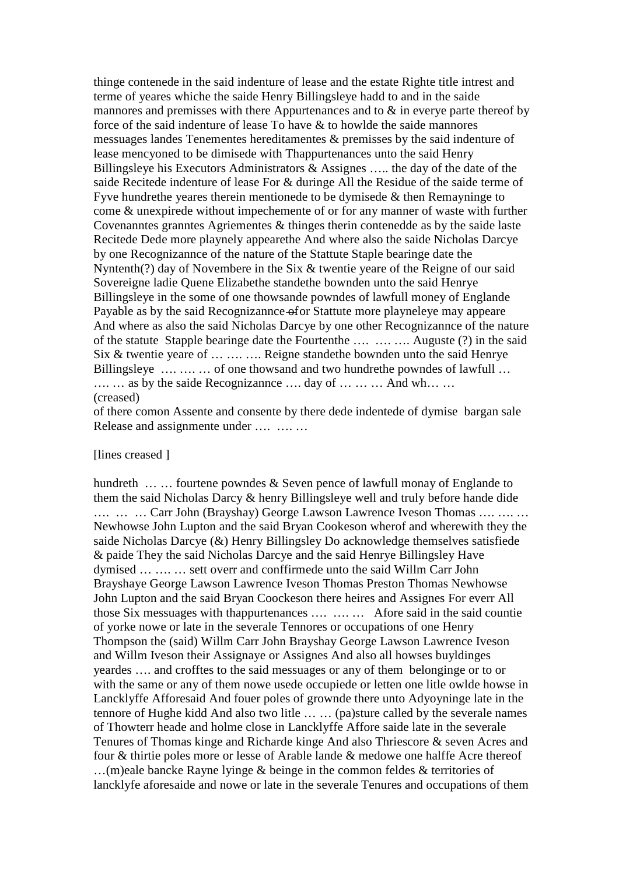thinge contenede in the said indenture of lease and the estate Righte title intrest and terme of yeares whiche the saide Henry Billingsleye hadd to and in the saide mannores and premisses with there Appurtenances and to  $\&$  in every parte thereof by force of the said indenture of lease To have & to howlde the saide mannores messuages landes Tenementes hereditamentes & premisses by the said indenture of lease mencyoned to be dimisede with Thappurtenances unto the said Henry Billingsleve his Executors Administrators  $\&$  Assignes ..... the day of the date of the saide Recitede indenture of lease For & duringe All the Residue of the saide terme of Fyve hundrethe yeares therein mentionede to be dymisede  $\&$  then Remayninge to come & unexpirede without impechemente of or for any manner of waste with further Covenanntes granntes Agriementes  $\&$  thinges therin contened as by the saide laste Recitede Dede more playnely appeare the And where also the saide Nicholas Darcye by one Recognizannee of the nature of the Statute Staple bearinge date the Nyntenth(?) day of Novembere in the Six & twentie yeare of the Reigne of our said Sovereigne ladie Quene Elizabethe standethe bownden unto the said Henrye Billingsleye in the some of one thowsande powndes of lawfull money of Englande Payable as by the said Recognizannee of or Stattute more playneleye may appeare And where as also the said Nicholas Darcye by one other Recognizannee of the nature of the statute Stapple bearinge date the Fourtenthe .... .... Auguste (?) in the said Six & twentie yeare of ... .... .... Reigne stande the bownden unto the said Henrye Billingsleye .... .... ... of one thows and and two hundrethe powndes of lawfull ... ... ... as by the saide Recognizannes .... day of ... ... ... And wh... ... (creased)

of there comon Assente and consente by there dede indentede of dymise bargan sale Release and assignmente under .... .... ...

## [lines creased]

hundreth  $\dots$   $\dots$  fourtene powndes & Seven pence of lawfull monay of Englande to them the said Nicholas Darcy & henry Billingsleye well and truly before hande dide .... ... Carr John (Brayshay) George Lawson Lawrence Iveson Thomas .... ... ... Newhowse John Lupton and the said Bryan Cookeson where and wherewith they the saide Nicholas Darcye  $(\&)$  Henry Billingsley Do acknowledge themselves satisfiede & paide They the said Nicholas Darcye and the said Henrye Billingsley Have dymised ... .... ... sett overr and conffirmede unto the said Willm Carr John Brayshaye George Lawson Lawrence Iveson Thomas Preston Thomas Newhowse John Lupton and the said Bryan Coockeson there heires and Assignes For everr All those Six messuages with thappurtenances .... ... ... Afore said in the said countie of vorke nowe or late in the severale Tennores or occupations of one Henry Thompson the (said) Willm Carr John Brayshay George Lawson Lawrence Iveson and Willm Iveson their Assignaye or Assignes And also all howses buyldinges yeardes .... and crofftes to the said messuages or any of them belonginge or to or with the same or any of them nowe usede occupiede or letten one litle owlde howse in Lancklyffe Afforesaid And fouer poles of grownde there unto Adyoyninge late in the tennore of Hughe kidd And also two litle ... ... (pa)sture called by the severale names of Thowterr heade and holme close in Lancklyffe Affore saide late in the severale Tenures of Thomas kinge and Richarde kinge And also Thriescore & seven Acres and four & thirtie poles more or lesse of Arable lande & medowe one halffe Acre thereof ...(m)eale bancke Rayne lyinge  $\&$  beinge in the common feldes  $\&$  territories of lancklyfe aforesaide and nowe or late in the severale Tenures and occupations of them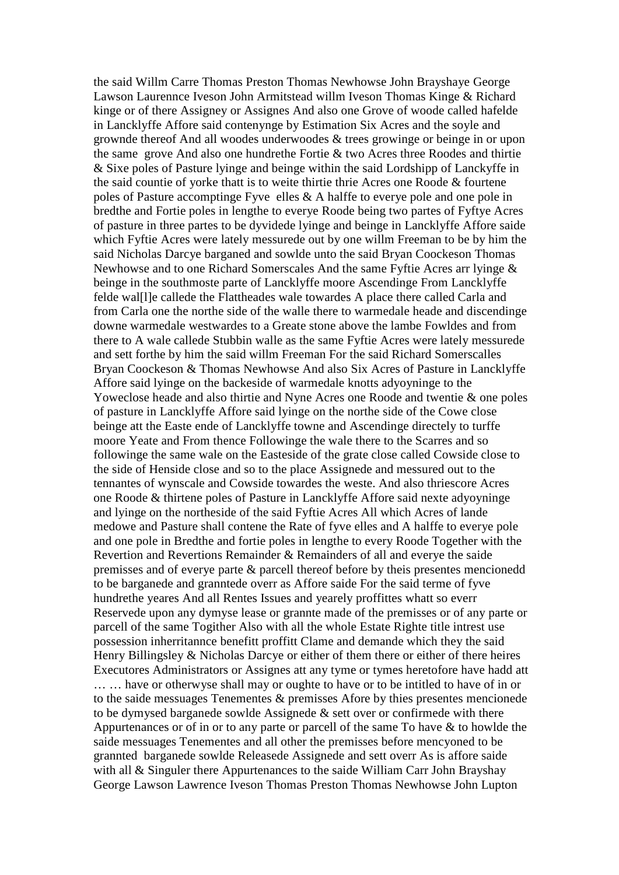the said Willm Carre Thomas Preston Thomas Newhowse John Brayshaye George Lawson Laurennce Iveson John Armitstead willm Iveson Thomas Kinge & Richard kinge or of there Assigney or Assignes And also one Grove of woode called hafelde in Lancklyffe Affore said contenynge by Estimation Six Acres and the soyle and grownde thereof And all woodes underwoodes & trees growinge or beinge in or upon the same grove And also one hundrethe Fortie & two Acres three Roodes and thirtie & Sixe poles of Pasture lyinge and beinge within the said Lordshipp of Lanckyffe in the said countie of yorke thatt is to weite thirtie thrie Acres one Roode & fourtene poles of Pasture accomptinge Fyve elles & A halffe to everye pole and one pole in bredthe and Fortie poles in lengthe to everye Roode being two partes of Fyftye Acres of pasture in three partes to be dyvidede lyinge and beinge in Lancklyffe Affore saide which Fyftie Acres were lately messurede out by one willm Freeman to be by him the said Nicholas Darcye barganed and sowlde unto the said Bryan Coockeson Thomas Newhowse and to one Richard Somerscales And the same Fyftie Acres arr lyinge & beinge in the southmoste parte of Lancklyffe moore Ascendinge From Lancklyffe felde wal[l]e callede the Flattheades wale towardes A place there called Carla and from Carla one the northe side of the walle there to warmedale heade and discendinge downe warmedale westwardes to a Greate stone above the lambe Fowldes and from there to A wale callede Stubbin walle as the same Fyftie Acres were lately messurede and sett forthe by him the said willm Freeman For the said Richard Somerscalles Bryan Coockeson & Thomas Newhowse And also Six Acres of Pasture in Lancklyffe Affore said lyinge on the backeside of warmedale knotts adyoyninge to the Yoweclose heade and also thirtie and Nyne Acres one Roode and twentie & one poles of pasture in Lancklyffe Affore said lyinge on the northe side of the Cowe close beinge att the Easte ende of Lancklyffe towne and Ascendinge directely to turffe moore Yeate and From thence Followinge the wale there to the Scarres and so followinge the same wale on the Easteside of the grate close called Cowside close to the side of Henside close and so to the place Assignede and messured out to the tennantes of wynscale and Cowside towardes the weste. And also thriescore Acres one Roode & thirtene poles of Pasture in Lancklyffe Affore said nexte adyoyninge and lyinge on the northeside of the said Fyftie Acres All which Acres of lande medowe and Pasture shall contene the Rate of fyve elles and A halffe to everye pole and one pole in Bredthe and fortie poles in lengthe to every Roode Together with the Revertion and Revertions Remainder & Remainders of all and everye the saide premisses and of everye parte & parcell thereof before by theis presentes mencionedd to be barganede and granntede overr as Affore saide For the said terme of fyve hundrethe yeares And all Rentes Issues and yearely proffittes whatt so everr Reservede upon any dymyse lease or grannte made of the premisses or of any parte or parcell of the same Togither Also with all the whole Estate Righte title intrest use possession inherritannce benefitt proffitt Clame and demande which they the said Henry Billingsley & Nicholas Darcye or either of them there or either of there heires Executores Administrators or Assignes att any tyme or tymes heretofore have hadd att … … have or otherwyse shall may or oughte to have or to be intitled to have of in or to the saide messuages Tenementes & premisses Afore by thies presentes mencionede to be dymysed barganede sowlde Assignede & sett over or confirmede with there Appurtenances or of in or to any parte or parcell of the same To have & to howlde the saide messuages Tenementes and all other the premisses before mencyoned to be grannted barganede sowlde Releasede Assignede and sett overr As is affore saide with all & Singuler there Appurtenances to the saide William Carr John Brayshay George Lawson Lawrence Iveson Thomas Preston Thomas Newhowse John Lupton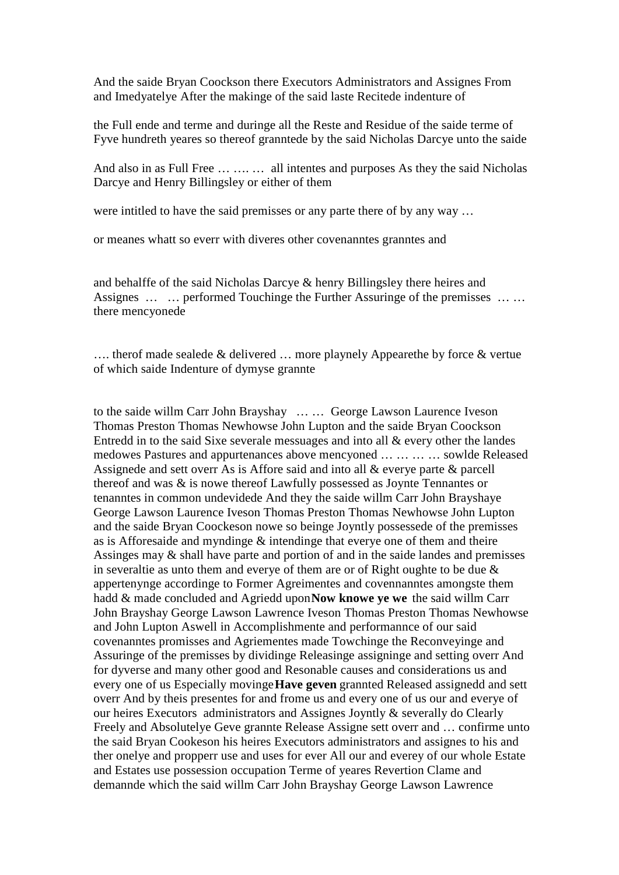And the saide Bryan Coockson there Executors Administrators and Assignes From and Imedyatelye After the makinge of the said laste Recitede indenture of

the Full ende and terme and duringe all the Reste and Residue of the saide terme of Fyve hundreth yeares so thereof granntede by the said Nicholas Darcye unto the saide

And also in as Full Free ... ... ... all intentes and purposes As they the said Nicholas Darcye and Henry Billingsley or either of them

were intitled to have the said premisses or any parte there of by any way ...

or meanes whatt so everr with diveres other covenanntes granntes and

and behalffe of the said Nicholas Darcye & henry Billingsley there heires and Assignes ... ... performed Touchinge the Further Assuringe of the premisses ... ... there mencyonede

.... theref made sealede  $&$  delivered ... more playnely Appeare the by force  $&$  vertue of which saide Indenture of dymyse grannte

to the saide willm Carr John Brayshay ... ... George Lawson Laurence Iveson Thomas Preston Thomas Newhowse John Lupton and the saide Bryan Coockson Entredd in to the said Sixe severale messuages and into all  $\&$  every other the landes medowes Pastures and appurtenances above mencyoned ... ... ... ... sowlde Released Assignede and sett over As is Affore said and into all  $\&$  everye parte  $\&$  parcell thereof and was  $\&$  is nowe thereof Lawfully possessed as Joynte Tennantes or tenanntes in common undevidede And they the saide willm Carr John Brayshaye George Lawson Laurence Iveson Thomas Preston Thomas Newhowse John Lupton and the saide Bryan Coockeson nowe so beinge Joyntly possessede of the premisses as is Afforesaide and myndinge  $\&$  intendinge that every one of them and theire Assinges may  $\&$  shall have parte and portion of and in the saide landes and premisses in severaltie as unto them and everye of them are or of Right oughte to be due  $\&$ appertenynge accordinge to Former Agreimentes and covennanntes amongste them hadd & made concluded and Agriedd upon Now knowe ye we the said willm Carr John Brayshay George Lawson Lawrence Iveson Thomas Preston Thomas Newhowse and John Lupton Aswell in Accomplishmente and performannce of our said covenanntes promisses and Agriementes made Towchinge the Reconveyinge and Assuringe of the premisses by dividinge Releasinge assigninge and setting overr And for dyverse and many other good and Resonable causes and considerations us and every one of us Especially movinge **Have geven** grannted Released assignedd and sett overr And by theis presentes for and frome us and every one of us our and everye of our heires Executors administrators and Assignes Joyntly & severally do Clearly Freely and Absolutelye Geve grannte Release Assigne sett overr and ... confirme unto the said Bryan Cookeson his heires Executors administrators and assignes to his and ther onelye and propperr use and uses for ever All our and everey of our whole Estate and Estates use possession occupation Terme of yeares Revertion Clame and demannde which the said willm Carr John Brayshay George Lawson Lawrence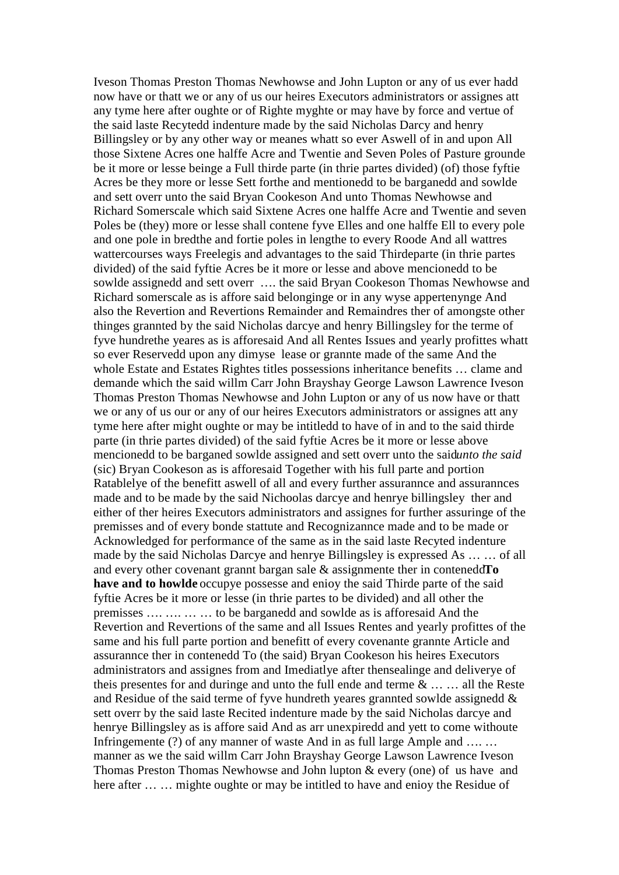Iveson Thomas Preston Thomas Newhowse and John Lupton or any of us ever hadd now have or thatt we or any of us our heires Executors administrators or assignes att any tyme here after oughte or of Righte myghte or may have by force and vertue of the said laste Recytedd indenture made by the said Nicholas Darcy and henry Billingsley or by any other way or meanes whatt so ever Aswell of in and upon All those Sixtene Acres one halffe Acre and Twentie and Seven Poles of Pasture grounde be it more or lesse beinge a Full thirde parte (in thrie partes divided) (of) those fyftie Acres be they more or lesse Sett forthe and mentionedd to be barganedd and sowlde and sett overr unto the said Bryan Cookeson And unto Thomas Newhowse and Richard Somerscale which said Sixtene Acres one halffe Acre and Twentie and seven Poles be (they) more or lesse shall contene fyve Elles and one halffe Ell to every pole and one pole in bredthe and fortie poles in lengthe to every Roode And all wattres wattercourses ways Freelegis and advantages to the said Thirdeparte (in thrie partes divided) of the said fyftie Acres be it more or lesse and above mencionedd to be sowlde assignedd and sett overr …. the said Bryan Cookeson Thomas Newhowse and Richard somerscale as is affore said belonginge or in any wyse appertenynge And also the Revertion and Revertions Remainder and Remaindres ther of amongste other thinges grannted by the said Nicholas darcye and henry Billingsley for the terme of fyve hundrethe yeares as is afforesaid And all Rentes Issues and yearly profittes whatt so ever Reservedd upon any dimyse lease or grannte made of the same And the whole Estate and Estates Rightes titles possessions inheritance benefits … clame and demande which the said willm Carr John Brayshay George Lawson Lawrence Iveson Thomas Preston Thomas Newhowse and John Lupton or any of us now have or thatt we or any of us our or any of our heires Executors administrators or assignes att any tyme here after might oughte or may be intitledd to have of in and to the said thirde parte (in thrie partes divided) of the said fyftie Acres be it more or lesse above mencionedd to be barganed sowlde assigned and sett overr unto the said*unto the said* (sic) Bryan Cookeson as is afforesaid Together with his full parte and portion Ratablelye of the benefitt aswell of all and every further assurannce and assurannces made and to be made by the said Nichoolas darcye and henrye billingsley ther and either of ther heires Executors administrators and assignes for further assuringe of the premisses and of every bonde stattute and Recognizannce made and to be made or Acknowledged for performance of the same as in the said laste Recyted indenture made by the said Nicholas Darcye and henrye Billingsley is expressed As … … of all and every other covenant grannt bargan sale & assignmente ther in contenedd**To have and to howlde** occupye possesse and enioy the said Thirde parte of the said fyftie Acres be it more or lesse (in thrie partes to be divided) and all other the premisses …. …. … … to be barganedd and sowlde as is afforesaid And the Revertion and Revertions of the same and all Issues Rentes and yearly profittes of the same and his full parte portion and benefitt of every covenante grannte Article and assurannce ther in contenedd To (the said) Bryan Cookeson his heires Executors administrators and assignes from and Imediatlye after thensealinge and deliverye of theis presentes for and duringe and unto the full ende and terme & … … all the Reste and Residue of the said terme of fyve hundreth yeares grannted sowlde assignedd & sett overr by the said laste Recited indenture made by the said Nicholas darcye and henrye Billingsley as is affore said And as arr unexpiredd and yett to come withoute Infringemente (?) of any manner of waste And in as full large Ample and .... ... manner as we the said willm Carr John Brayshay George Lawson Lawrence Iveson Thomas Preston Thomas Newhowse and John lupton & every (one) of us have and here after ... ... mighte oughte or may be intitled to have and enioy the Residue of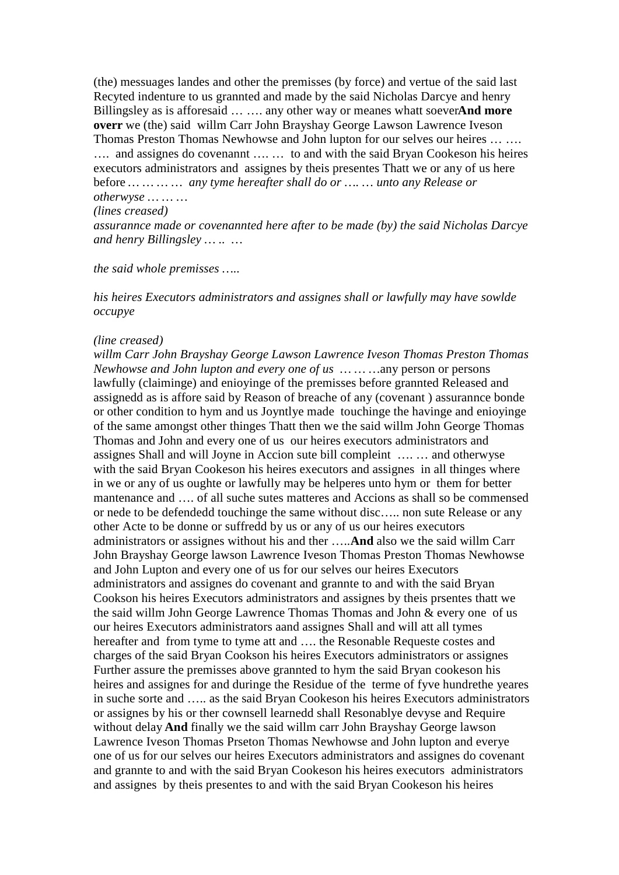(the) messuages landes and other the premisses (by force) and vertue of the said last Recyted indenture to us grannted and made by the said Nicholas Darcye and henry Billingsley as is afforesaid ... .... any other way or meanes whatt soeverAnd more overr we (the) said willm Carr John Brayshay George Lawson Lawrence Iveson Thomas Preston Thomas Newhowse and John lupton for our selves our heires ... .... .... and assignes do covenannt .... ... to and with the said Bryan Cookeson his heires executors administrators and assignes by theis presentes Thatt we or any of us here before ... ... ... ... any tyme hereafter shall do or .... ... unto any Release or otherwyse ... ... ...

### (lines creased)

assurannce made or covenannted here after to be made (by) the said Nicholas Darcye and henry Billingsley ... .. ...

the said whole premisses .....

his heires Executors administrators and assignes shall or lawfully may have sowlde  $occupye$ 

#### (line creased)

willm Carr John Brayshay George Lawson Lawrence Iveson Thomas Preston Thomas Newhowse and John lupton and every one of us ... ... ... any person or persons lawfully (claiminge) and eniovinge of the premisses before grannted Released and assignedd as is affore said by Reason of breache of any (covenant) assurannce bonde or other condition to hym and us Joyntlye made touchinge the havinge and enjoying of the same amongst other thinges Thatt then we the said willm John George Thomas Thomas and John and every one of us our heires executors administrators and assignes Shall and will Joyne in Accion sute bill compleint .... ... and otherwyse with the said Bryan Cookeson his heires executors and assignes in all thinges where in we or any of us oughte or lawfully may be helperes unto hym or them for better mantenance and ... of all suche sutes matteres and Accions as shall so be commensed or nede to be defendedd touchinge the same without disc..... non sute Release or any other Acte to be donne or suffredd by us or any of us our heires executors administrators or assignes without his and ther .....**And** also we the said willm Carr John Brayshay George lawson Lawrence Iveson Thomas Preston Thomas Newhowse and John Lupton and every one of us for our selves our heires Executors administrators and assignes do covenant and grannte to and with the said Bryan Cookson his heires Executors administrators and assignes by theis prsentes thatt we the said willm John George Lawrence Thomas Thomas and John & every one of us our heires Executors administrators aand assignes Shall and will att all tymes hereafter and from tyme to tyme att and .... the Resonable Requeste costes and charges of the said Bryan Cookson his heires Executors administrators or assignes Further assure the premisses above grannted to hym the said Bryan cookeson his heires and assignes for and duringe the Residue of the terme of fyve hundrethe yeares in suche sorte and ..... as the said Bryan Cookeson his heires Executors administrators or assignes by his or ther cownsell learnedd shall Resonablye devyse and Require without delay And finally we the said willm carr John Brayshay George lawson Lawrence Iveson Thomas Prseton Thomas Newhowse and John lupton and everye one of us for our selves our heires Executors administrators and assignes do covenant and grannte to and with the said Bryan Cookeson his heires executors administrators and assignes by their presentes to and with the said Bryan Cookeson his heires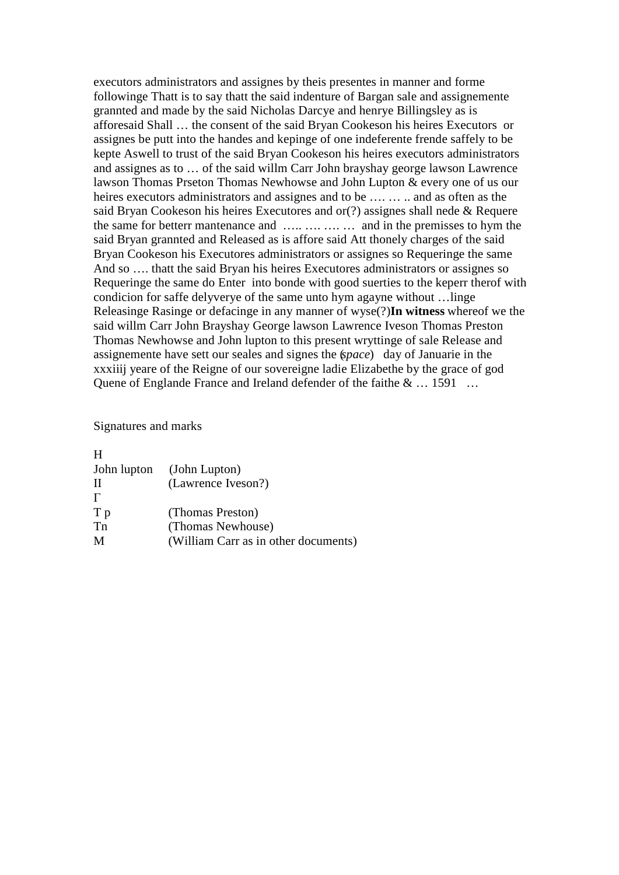executors administrators and assignes by theis presentes in manner and forme followinge Thatt is to say thatt the said indenture of Bargan sale and assignemente grannted and made by the said Nicholas Darcye and henrye Billingsley as is afforesaid Shall ... the consent of the said Bryan Cookeson his heires Executors or assignes be putt into the handes and kepinge of one indeferente frende saffely to be kepte Aswell to trust of the said Bryan Cookeson his heires executors administrators and assignes as to ... of the said willm Carr John brayshay george lawson Lawrence lawson Thomas Prseton Thomas Newhowse and John Lupton & every one of us our heires executors administrators and assignes and to be .... ... .. and as often as the said Bryan Cookeson his heires Executores and or(?) assignes shall nede & Requere the same for better mantenance and ..... .... .... ... and in the premisses to hym the said Bryan grannted and Released as is affore said Att thonely charges of the said Bryan Cookeson his Executores administrators or assignes so Requeringe the same And so .... that the said Bryan his heires Executores administrators or assignes so Requeringe the same do Enter into bonde with good suerties to the keperr there with condicion for saffe delyverye of the same unto hym agayne without ...linge Releasinge Rasinge or defacinge in any manner of wyse(?)In witness whereof we the said willm Carr John Brayshay George lawson Lawrence Iveson Thomas Preston Thomas Newhowse and John lupton to this present wryttinge of sale Release and assignemente have sett our seales and signes the (space) day of Januarie in the xxxiiij yeare of the Reigne of our sovereigne ladie Elizabethe by the grace of god Quene of Englande France and Ireland defender of the faithe & ... 1591 ...

Signatures and marks

| John lupton<br>(John Lupton)         |
|--------------------------------------|
| (Lawrence Iveson?)                   |
|                                      |
| (Thomas Preston)                     |
| (Thomas Newhouse)                    |
| (William Carr as in other documents) |
|                                      |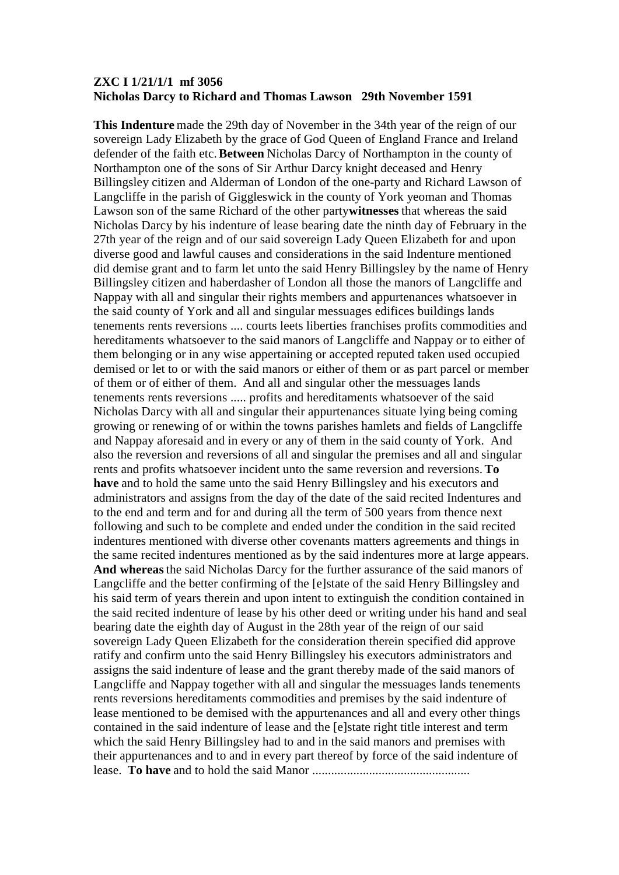## **ZXC I 1/21/1/1 mf 3056 Nicholas Darcy to Richard and Thomas Lawson 29th November 1591**

**This Indenture** made the 29th day of November in the 34th year of the reign of our sovereign Lady Elizabeth by the grace of God Queen of England France and Ireland defender of the faith etc.**Between** Nicholas Darcy of Northampton in the county of Northampton one of the sons of Sir Arthur Darcy knight deceased and Henry Billingsley citizen and Alderman of London of the one-party and Richard Lawson of Langcliffe in the parish of Giggleswick in the county of York yeoman and Thomas Lawson son of the same Richard of the other party**witnesses** that whereas the said Nicholas Darcy by his indenture of lease bearing date the ninth day of February in the 27th year of the reign and of our said sovereign Lady Queen Elizabeth for and upon diverse good and lawful causes and considerations in the said Indenture mentioned did demise grant and to farm let unto the said Henry Billingsley by the name of Henry Billingsley citizen and haberdasher of London all those the manors of Langcliffe and Nappay with all and singular their rights members and appurtenances whatsoever in the said county of York and all and singular messuages edifices buildings lands tenements rents reversions .... courts leets liberties franchises profits commodities and hereditaments whatsoever to the said manors of Langcliffe and Nappay or to either of them belonging or in any wise appertaining or accepted reputed taken used occupied demised or let to or with the said manors or either of them or as part parcel or member of them or of either of them. And all and singular other the messuages lands tenements rents reversions ..... profits and hereditaments whatsoever of the said Nicholas Darcy with all and singular their appurtenances situate lying being coming growing or renewing of or within the towns parishes hamlets and fields of Langcliffe and Nappay aforesaid and in every or any of them in the said county of York. And also the reversion and reversions of all and singular the premises and all and singular rents and profits whatsoever incident unto the same reversion and reversions.**To have** and to hold the same unto the said Henry Billingsley and his executors and administrators and assigns from the day of the date of the said recited Indentures and to the end and term and for and during all the term of 500 years from thence next following and such to be complete and ended under the condition in the said recited indentures mentioned with diverse other covenants matters agreements and things in the same recited indentures mentioned as by the said indentures more at large appears. **And whereas**the said Nicholas Darcy for the further assurance of the said manors of Langcliffe and the better confirming of the [e]state of the said Henry Billingsley and his said term of years therein and upon intent to extinguish the condition contained in the said recited indenture of lease by his other deed or writing under his hand and seal bearing date the eighth day of August in the 28th year of the reign of our said sovereign Lady Queen Elizabeth for the consideration therein specified did approve ratify and confirm unto the said Henry Billingsley his executors administrators and assigns the said indenture of lease and the grant thereby made of the said manors of Langcliffe and Nappay together with all and singular the messuages lands tenements rents reversions hereditaments commodities and premises by the said indenture of lease mentioned to be demised with the appurtenances and all and every other things contained in the said indenture of lease and the [e]state right title interest and term which the said Henry Billingsley had to and in the said manors and premises with their appurtenances and to and in every part thereof by force of the said indenture of lease. **To have** and to hold the said Manor ..................................................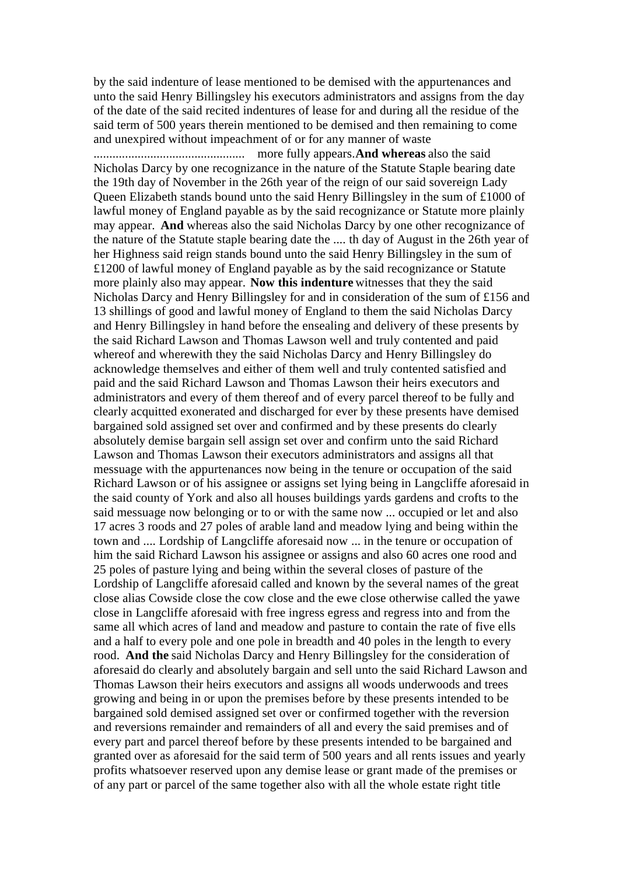by the said indenture of lease mentioned to be demised with the appurtenances and unto the said Henry Billingsley his executors administrators and assigns from the day of the date of the said recited indentures of lease for and during all the residue of the said term of 500 years therein mentioned to be demised and then remaining to come and unexpired without impeachment of or for any manner of waste

................................................ more fully appears.**And whereas** also the said Nicholas Darcy by one recognizance in the nature of the Statute Staple bearing date the 19th day of November in the 26th year of the reign of our said sovereign Lady Queen Elizabeth stands bound unto the said Henry Billingsley in the sum of £1000 of lawful money of England payable as by the said recognizance or Statute more plainly may appear. **And** whereas also the said Nicholas Darcy by one other recognizance of the nature of the Statute staple bearing date the .... th day of August in the 26th year of her Highness said reign stands bound unto the said Henry Billingsley in the sum of £1200 of lawful money of England payable as by the said recognizance or Statute more plainly also may appear. **Now this indenture** witnesses that they the said Nicholas Darcy and Henry Billingsley for and in consideration of the sum of £156 and 13 shillings of good and lawful money of England to them the said Nicholas Darcy and Henry Billingsley in hand before the ensealing and delivery of these presents by the said Richard Lawson and Thomas Lawson well and truly contented and paid whereof and wherewith they the said Nicholas Darcy and Henry Billingsley do acknowledge themselves and either of them well and truly contented satisfied and paid and the said Richard Lawson and Thomas Lawson their heirs executors and administrators and every of them thereof and of every parcel thereof to be fully and clearly acquitted exonerated and discharged for ever by these presents have demised bargained sold assigned set over and confirmed and by these presents do clearly absolutely demise bargain sell assign set over and confirm unto the said Richard Lawson and Thomas Lawson their executors administrators and assigns all that messuage with the appurtenances now being in the tenure or occupation of the said Richard Lawson or of his assignee or assigns set lying being in Langcliffe aforesaid in the said county of York and also all houses buildings yards gardens and crofts to the said messuage now belonging or to or with the same now ... occupied or let and also 17 acres 3 roods and 27 poles of arable land and meadow lying and being within the town and .... Lordship of Langcliffe aforesaid now ... in the tenure or occupation of him the said Richard Lawson his assignee or assigns and also 60 acres one rood and 25 poles of pasture lying and being within the several closes of pasture of the Lordship of Langcliffe aforesaid called and known by the several names of the great close alias Cowside close the cow close and the ewe close otherwise called the yawe close in Langcliffe aforesaid with free ingress egress and regress into and from the same all which acres of land and meadow and pasture to contain the rate of five ells and a half to every pole and one pole in breadth and 40 poles in the length to every rood. **And the** said Nicholas Darcy and Henry Billingsley for the consideration of aforesaid do clearly and absolutely bargain and sell unto the said Richard Lawson and Thomas Lawson their heirs executors and assigns all woods underwoods and trees growing and being in or upon the premises before by these presents intended to be bargained sold demised assigned set over or confirmed together with the reversion and reversions remainder and remainders of all and every the said premises and of every part and parcel thereof before by these presents intended to be bargained and granted over as aforesaid for the said term of 500 years and all rents issues and yearly profits whatsoever reserved upon any demise lease or grant made of the premises or of any part or parcel of the same together also with all the whole estate right title